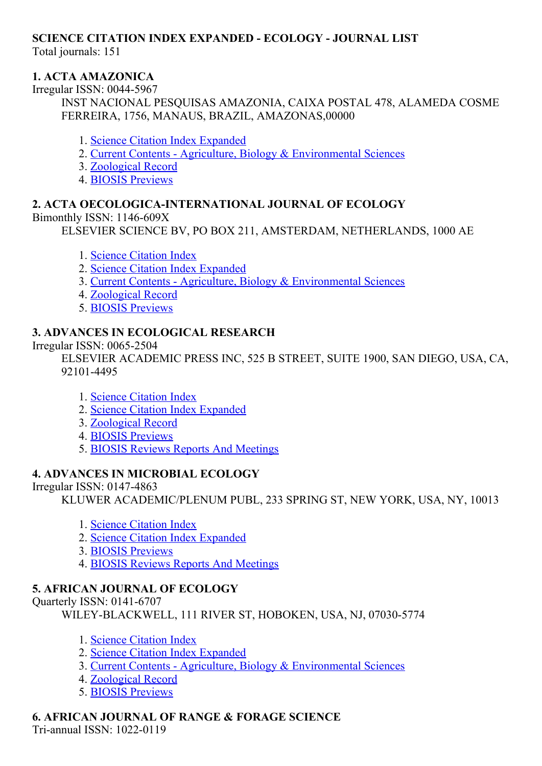## SCIENCE CITATION INDEX EXPANDED ECOLOGY JOURNAL LIST

Total journals: 151

## 1. ACTA AMAZONICA

Irregular ISSN: 00445967

INST NACIONAL PESQUISAS AMAZONIA, CAIXA POSTAL 478, ALAMEDA COSME FERREIRA, 1756, MANAUS, BRAZIL, AMAZONAS,00000

- 1. Science Citation Index [Expanded](http://thomsonreuters.com/science-citation-index-expanded)
- 2. Current Contents Agriculture, Biology & [Environmental](http://thomsonreuters.com/current-contents-connect/) Sciences
- 3. [Zoological](http://thomsonreuters.com/zoological-record) Record
- 4. BIOSIS [Previews](http://thomsonreuters.com/biosis-previews)

## 2. ACTA OECOLOGICA-INTERNATIONAL JOURNAL OF ECOLOGY

Bimonthly ISSN: 1146-609X

ELSEVIER SCIENCE BV, PO BOX 211, AMSTERDAM, NETHERLANDS, 1000 AE

- 1. Science [Citation](http://thomsonreuters.com/science-citation-index-expanded) Index
- 2. Science Citation Index [Expanded](http://thomsonreuters.com/science-citation-index-expanded)
- 3. Current Contents Agriculture, Biology & [Environmental](http://thomsonreuters.com/current-contents-connect/) Sciences
- 4. [Zoological](http://thomsonreuters.com/zoological-record) Record
- 5. BIOSIS [Previews](http://thomsonreuters.com/biosis-previews)

## 3. ADVANCES IN ECOLOGICAL RESEARCH

Irregular ISSN: 00652504

ELSEVIER ACADEMIC PRESS INC, 525 B STREET, SUITE 1900, SAN DIEGO, USA, CA, 92101-4495

- 1. Science [Citation](http://thomsonreuters.com/science-citation-index-expanded) Index
- 2. Science Citation Index [Expanded](http://thomsonreuters.com/science-citation-index-expanded)
- 3. [Zoological](http://thomsonreuters.com/zoological-record) Record
- 4. BIOSIS [Previews](http://thomsonreuters.com/biosis-previews)
- 5. BIOSIS Reviews Reports And [Meetings](http://thomsonreuters.com/biosis-previews)

## 4. ADVANCES IN MICROBIAL ECOLOGY

Irregular ISSN: 01474863

KLUWER ACADEMIC/PLENUM PUBL, 233 SPRING ST, NEW YORK, USA, NY, 10013

- 1. Science [Citation](http://thomsonreuters.com/science-citation-index-expanded) Index
- 2. Science Citation Index [Expanded](http://thomsonreuters.com/science-citation-index-expanded)
- 3. BIOSIS [Previews](http://thomsonreuters.com/biosis-previews)
- 4. BIOSIS Reviews Reports And [Meetings](http://thomsonreuters.com/biosis-previews)

## 5. AFRICAN JOURNAL OF ECOLOGY

Ouarterly ISSN: 0141-6707

WILEY-BLACKWELL, 111 RIVER ST, HOBOKEN, USA, NJ, 07030-5774

- 1. Science [Citation](http://thomsonreuters.com/science-citation-index-expanded) Index
- 2. Science Citation Index [Expanded](http://thomsonreuters.com/science-citation-index-expanded)
- 3. Current Contents Agriculture, Biology & [Environmental](http://thomsonreuters.com/current-contents-connect/) Sciences
- 4. [Zoological](http://thomsonreuters.com/zoological-record) Record
- 5. BIOSIS [Previews](http://thomsonreuters.com/biosis-previews)

## 6. AFRICAN JOURNAL OF RANGE & FORAGE SCIENCE

Tri-annual ISSN: 1022-0119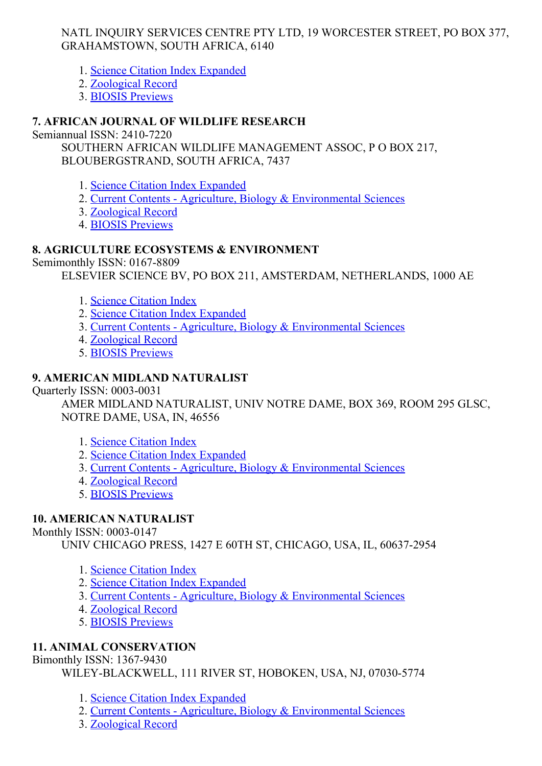#### NATL INQUIRY SERVICES CENTRE PTY LTD, 19 WORCESTER STREET, PO BOX 377, GRAHAMSTOWN, SOUTH AFRICA, 6140

- 1. Science Citation Index [Expanded](http://thomsonreuters.com/science-citation-index-expanded)
- 2. [Zoological](http://thomsonreuters.com/zoological-record) Record
- 3. BIOSIS [Previews](http://thomsonreuters.com/biosis-previews)

## 7. AFRICAN JOURNAL OF WILDLIFE RESEARCH

Semiannual ISSN: 2410-7220

SOUTHERN AFRICAN WILDLIFE MANAGEMENT ASSOC, P O BOX 217, BLOUBERGSTRAND, SOUTH AFRICA, 7437

- 1. Science Citation Index [Expanded](http://thomsonreuters.com/science-citation-index-expanded)
- 2. Current Contents Agriculture, Biology & [Environmental](http://thomsonreuters.com/current-contents-connect/) Sciences
- 3. [Zoological](http://thomsonreuters.com/zoological-record) Record
- 4. BIOSIS [Previews](http://thomsonreuters.com/biosis-previews)

### 8. AGRICULTURE ECOSYSTEMS & ENVIRONMENT

Semimonthly ISSN: 0167-8809

ELSEVIER SCIENCE BV, PO BOX 211, AMSTERDAM, NETHERLANDS, 1000 AE

- 1. Science [Citation](http://thomsonreuters.com/science-citation-index-expanded) Index
- 2. Science Citation Index [Expanded](http://thomsonreuters.com/science-citation-index-expanded)
- 3. Current Contents Agriculture, Biology & [Environmental](http://thomsonreuters.com/current-contents-connect/) Sciences
- 4. [Zoological](http://thomsonreuters.com/zoological-record) Record
- 5. BIOSIS [Previews](http://thomsonreuters.com/biosis-previews)

## 9. AMERICAN MIDLAND NATURALIST

Quarterly ISSN: 0003-0031

AMER MIDLAND NATURALIST, UNIV NOTRE DAME, BOX 369, ROOM 295 GLSC, NOTRE DAME, USA, IN, 46556

- 1. Science [Citation](http://thomsonreuters.com/science-citation-index-expanded) Index
- 2. Science Citation Index [Expanded](http://thomsonreuters.com/science-citation-index-expanded)
- 3. Current Contents Agriculture, Biology & [Environmental](http://thomsonreuters.com/current-contents-connect/) Sciences
- 4. [Zoological](http://thomsonreuters.com/zoological-record) Record
- 5. BIOSIS [Previews](http://thomsonreuters.com/biosis-previews)

### 10. AMERICAN NATURALIST

### Monthly ISSN: 0003-0147

UNIV CHICAGO PRESS, 1427 E 60TH ST, CHICAGO, USA, IL, 60637-2954

- 1. Science [Citation](http://thomsonreuters.com/science-citation-index-expanded) Index
- 2. Science Citation Index [Expanded](http://thomsonreuters.com/science-citation-index-expanded)
- 3. Current Contents Agriculture, Biology & [Environmental](http://thomsonreuters.com/current-contents-connect/) Sciences
- 4. [Zoological](http://thomsonreuters.com/zoological-record) Record
- 5. BIOSIS [Previews](http://thomsonreuters.com/biosis-previews)

## 11. ANIMAL CONSERVATION

### Bimonthly ISSN: 1367-9430

WILEY-BLACKWELL, 111 RIVER ST, HOBOKEN, USA, NJ, 07030-5774

- 1. Science Citation Index [Expanded](http://thomsonreuters.com/science-citation-index-expanded)
- 2. Current Contents Agriculture, Biology & [Environmental](http://thomsonreuters.com/current-contents-connect/) Sciences
- 3. [Zoological](http://thomsonreuters.com/zoological-record) Record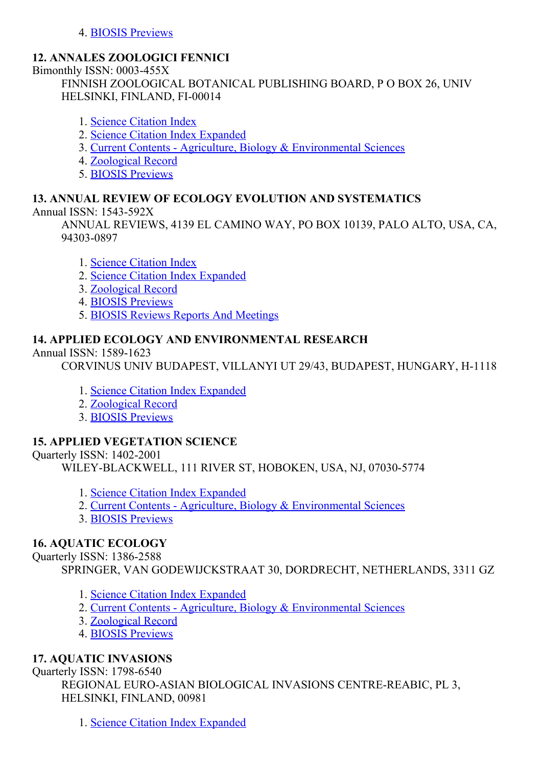## 12. ANNALES ZOOLOGICI FENNICI

## Bimonthly ISSN: 0003-455X FINNISH ZOOLOGICAL BOTANICAL PUBLISHING BOARD, P O BOX 26, UNIV HELSINKI, FINLAND, FI-00014

- 1. Science [Citation](http://thomsonreuters.com/science-citation-index-expanded) Index
- 2. Science Citation Index [Expanded](http://thomsonreuters.com/science-citation-index-expanded)
- 3. Current Contents Agriculture, Biology & [Environmental](http://thomsonreuters.com/current-contents-connect/) Sciences
- 4. [Zoological](http://thomsonreuters.com/zoological-record) Record
- 5. BIOSIS [Previews](http://thomsonreuters.com/biosis-previews)

## 13. ANNUAL REVIEW OF ECOLOGY EVOLUTION AND SYSTEMATICS

Annual ISSN:  $1543-592X$ 

ANNUAL REVIEWS, 4139 EL CAMINO WAY, PO BOX 10139, PALO ALTO, USA, CA, 94303-0897

- 1. Science [Citation](http://thomsonreuters.com/science-citation-index-expanded) Index
- 2. Science Citation Index [Expanded](http://thomsonreuters.com/science-citation-index-expanded)
- 3. [Zoological](http://thomsonreuters.com/zoological-record) Record
- 4. BIOSIS [Previews](http://thomsonreuters.com/biosis-previews)
- 5. BIOSIS Reviews Reports And [Meetings](http://thomsonreuters.com/biosis-previews)

## 14. APPLIED ECOLOGY AND ENVIRONMENTAL RESEARCH

### Annual ISSN: 1589-1623

CORVINUS UNIV BUDAPEST, VILLANYI UT 29/43, BUDAPEST, HUNGARY, H-1118

- 1. Science Citation Index [Expanded](http://thomsonreuters.com/science-citation-index-expanded)
- 2. [Zoological](http://thomsonreuters.com/zoological-record) Record
- 3. BIOSIS [Previews](http://thomsonreuters.com/biosis-previews)

## 15. APPLIED VEGETATION SCIENCE

#### Quarterly ISSN: 1402-2001

WILEY-BLACKWELL, 111 RIVER ST, HOBOKEN, USA, NJ, 07030-5774

- 1. Science Citation Index [Expanded](http://thomsonreuters.com/science-citation-index-expanded)
- 2. Current Contents Agriculture, Biology & [Environmental](http://thomsonreuters.com/current-contents-connect/) Sciences
- 3. BIOSIS [Previews](http://thomsonreuters.com/biosis-previews)

## 16. AQUATIC ECOLOGY

Quarterly ISSN: 1386-2588

SPRINGER, VAN GODEWIJCKSTRAAT 30, DORDRECHT, NETHERLANDS, 3311 GZ

- 1. Science Citation Index [Expanded](http://thomsonreuters.com/science-citation-index-expanded)
- 2. Current Contents Agriculture, Biology & [Environmental](http://thomsonreuters.com/current-contents-connect/) Sciences
- 3. [Zoological](http://thomsonreuters.com/zoological-record) Record
- 4. BIOSIS [Previews](http://thomsonreuters.com/biosis-previews)

## 17. AQUATIC INVASIONS

### Ouarterly ISSN: 1798-6540

REGIONAL EURO-ASIAN BIOLOGICAL INVASIONS CENTRE-REABIC, PL 3, HELSINKI, FINLAND, 00981

1. Science Citation Index [Expanded](http://thomsonreuters.com/science-citation-index-expanded)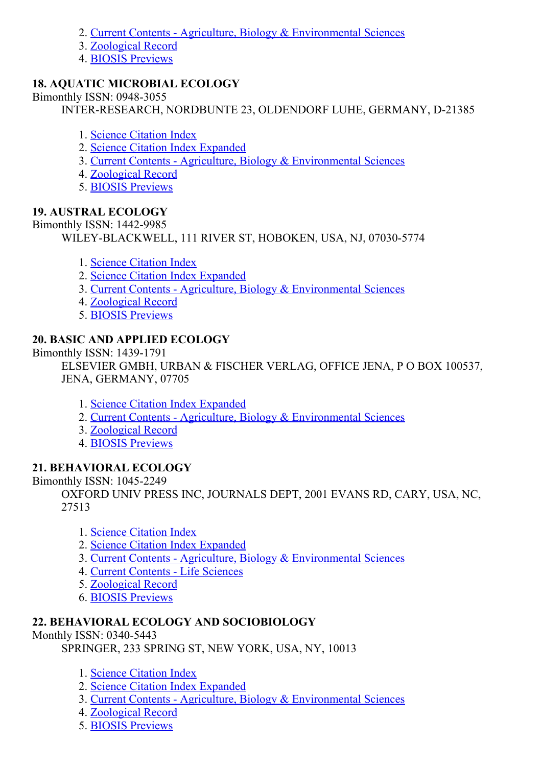- 2. Current Contents Agriculture, Biology & [Environmental](http://thomsonreuters.com/current-contents-connect/) Sciences
- 3. [Zoological](http://thomsonreuters.com/zoological-record) Record
- 4. BIOSIS [Previews](http://thomsonreuters.com/biosis-previews)

## 18. AQUATIC MICROBIAL ECOLOGY

Bimonthly ISSN: 0948-3055

INTER-RESEARCH, NORDBUNTE 23, OLDENDORF LUHE, GERMANY, D-21385

- 1. Science [Citation](http://thomsonreuters.com/science-citation-index-expanded) Index
- 2. Science Citation Index [Expanded](http://thomsonreuters.com/science-citation-index-expanded)
- 3. Current Contents Agriculture, Biology & [Environmental](http://thomsonreuters.com/current-contents-connect/) Sciences
- 4. [Zoological](http://thomsonreuters.com/zoological-record) Record
- 5. BIOSIS [Previews](http://thomsonreuters.com/biosis-previews)

### 19. AUSTRAL ECOLOGY

Bimonthly ISSN: 1442-9985 WILEY-BLACKWELL, 111 RIVER ST, HOBOKEN, USA, NJ, 07030-5774

- 1. Science [Citation](http://thomsonreuters.com/science-citation-index-expanded) Index
- 2. Science Citation Index [Expanded](http://thomsonreuters.com/science-citation-index-expanded)
- 3. Current Contents Agriculture, Biology & [Environmental](http://thomsonreuters.com/current-contents-connect/) Sciences
- 4. [Zoological](http://thomsonreuters.com/zoological-record) Record
- 5. BIOSIS [Previews](http://thomsonreuters.com/biosis-previews)

### 20. BASIC AND APPLIED ECOLOGY

Bimonthly ISSN: 1439-1791

ELSEVIER GMBH, URBAN & FISCHER VERLAG, OFFICE JENA, P O BOX 100537, JENA, GERMANY, 07705

- 1. Science Citation Index [Expanded](http://thomsonreuters.com/science-citation-index-expanded)
- 2. Current Contents Agriculture, Biology & [Environmental](http://thomsonreuters.com/current-contents-connect/) Sciences
- 3. [Zoological](http://thomsonreuters.com/zoological-record) Record
- 4. BIOSIS [Previews](http://thomsonreuters.com/biosis-previews)

### 21. BEHAVIORAL ECOLOGY

Bimonthly ISSN: 10452249

OXFORD UNIV PRESS INC, JOURNALS DEPT, 2001 EVANS RD, CARY, USA, NC, 27513

- 1. Science [Citation](http://thomsonreuters.com/science-citation-index-expanded) Index
- 2. Science Citation Index [Expanded](http://thomsonreuters.com/science-citation-index-expanded)
- 3. Current Contents Agriculture, Biology & [Environmental](http://thomsonreuters.com/current-contents-connect/) Sciences
- 4. Current [Contents](http://thomsonreuters.com/current-contents-connect) Life Sciences
- 5. [Zoological](http://thomsonreuters.com/zoological-record) Record
- 6. BIOSIS [Previews](http://thomsonreuters.com/biosis-previews)

### 22. BEHAVIORAL ECOLOGY AND SOCIOBIOLOGY

#### Monthly ISSN: 0340-5443

SPRINGER, 233 SPRING ST, NEW YORK, USA, NY, 10013

- 1. Science [Citation](http://thomsonreuters.com/science-citation-index-expanded) Index
- 2. Science Citation Index [Expanded](http://thomsonreuters.com/science-citation-index-expanded)
- 3. Current Contents Agriculture, Biology & [Environmental](http://thomsonreuters.com/current-contents-connect/) Sciences
- 4. [Zoological](http://thomsonreuters.com/zoological-record) Record
- 5. BIOSIS [Previews](http://thomsonreuters.com/biosis-previews)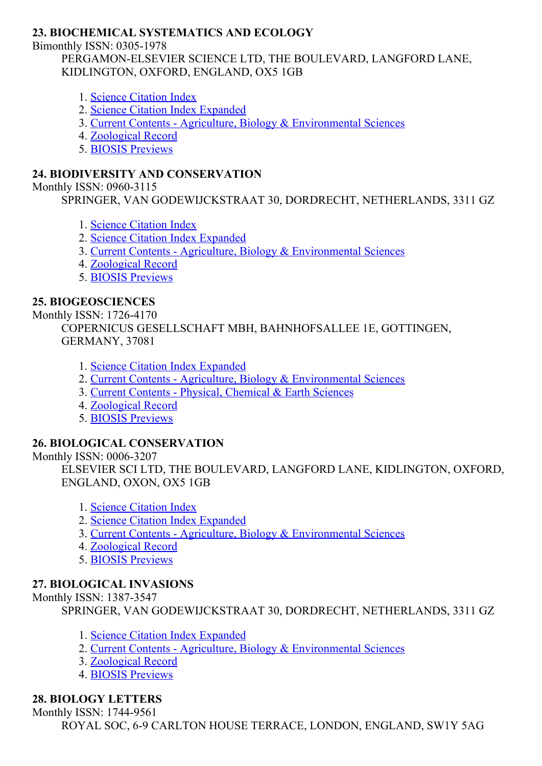## 23. BIOCHEMICAL SYSTEMATICS AND ECOLOGY

Bimonthly ISSN: 03051978

PERGAMON-ELSEVIER SCIENCE LTD, THE BOULEVARD, LANGFORD LANE, KIDLINGTON, OXFORD, ENGLAND, OX5 1GB

- 1. Science [Citation](http://thomsonreuters.com/science-citation-index-expanded) Index
- 2. Science Citation Index [Expanded](http://thomsonreuters.com/science-citation-index-expanded)
- 3. Current Contents Agriculture, Biology & [Environmental](http://thomsonreuters.com/current-contents-connect/) Sciences
- 4. [Zoological](http://thomsonreuters.com/zoological-record) Record
- 5. BIOSIS [Previews](http://thomsonreuters.com/biosis-previews)

#### 24. BIODIVERSITY AND CONSERVATION

Monthly ISSN: 0960-3115

SPRINGER, VAN GODEWIJCKSTRAAT 30, DORDRECHT, NETHERLANDS, 3311 GZ

- 1. Science [Citation](http://thomsonreuters.com/science-citation-index-expanded) Index
- 2. Science Citation Index [Expanded](http://thomsonreuters.com/science-citation-index-expanded)
- 3. Current Contents Agriculture, Biology & [Environmental](http://thomsonreuters.com/current-contents-connect/) Sciences
- 4. [Zoological](http://thomsonreuters.com/zoological-record) Record
- 5. BIOSIS [Previews](http://thomsonreuters.com/biosis-previews)

#### 25. BIOGEOSCIENCES

Monthly ISSN: 1726-4170

COPERNICUS GESELLSCHAFT MBH, BAHNHOFSALLEE 1E, GOTTINGEN, GERMANY, 37081

- 1. Science Citation Index [Expanded](http://thomsonreuters.com/science-citation-index-expanded)
- 2. Current Contents Agriculture, Biology & [Environmental](http://thomsonreuters.com/current-contents-connect/) Sciences
- 3. Current Contents Physical, [Chemical](http://thomsonreuters.com/current-contents-connect) & Earth Sciences
- 4. [Zoological](http://thomsonreuters.com/zoological-record) Record
- 5. BIOSIS [Previews](http://thomsonreuters.com/biosis-previews)

### 26. BIOLOGICAL CONSERVATION

#### Monthly ISSN: 0006-3207

ELSEVIER SCI LTD, THE BOULEVARD, LANGFORD LANE, KIDLINGTON, OXFORD, ENGLAND, OXON, OX5 1GB

- 1. Science [Citation](http://thomsonreuters.com/science-citation-index-expanded) Index
- 2. Science Citation Index [Expanded](http://thomsonreuters.com/science-citation-index-expanded)
- 3. Current Contents Agriculture, Biology & [Environmental](http://thomsonreuters.com/current-contents-connect/) Sciences
- 4. [Zoological](http://thomsonreuters.com/zoological-record) Record
- 5. BIOSIS [Previews](http://thomsonreuters.com/biosis-previews)

### 27. BIOLOGICAL INVASIONS

Monthly ISSN: 1387-3547

SPRINGER, VAN GODEWIJCKSTRAAT 30, DORDRECHT, NETHERLANDS, 3311 GZ

- 1. Science Citation Index [Expanded](http://thomsonreuters.com/science-citation-index-expanded)
- 2. Current Contents Agriculture, Biology & [Environmental](http://thomsonreuters.com/current-contents-connect/) Sciences
- 3. [Zoological](http://thomsonreuters.com/zoological-record) Record
- 4. BIOSIS [Previews](http://thomsonreuters.com/biosis-previews)

### 28. BIOLOGY LETTERS

Monthly ISSN: 1744-9561 ROYAL SOC, 69 CARLTON HOUSE TERRACE, LONDON, ENGLAND, SW1Y 5AG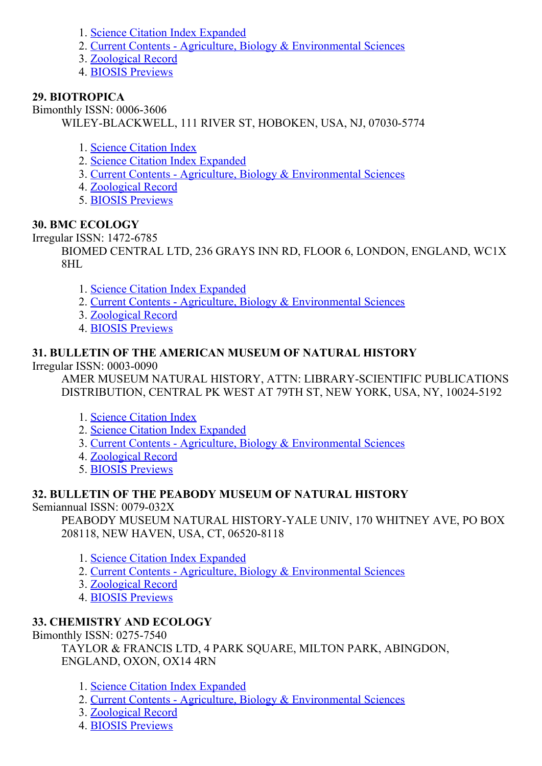- 1. Science Citation Index [Expanded](http://thomsonreuters.com/science-citation-index-expanded)
- 2. Current Contents Agriculture, Biology & [Environmental](http://thomsonreuters.com/current-contents-connect/) Sciences
- 3. [Zoological](http://thomsonreuters.com/zoological-record) Record
- 4. BIOSIS [Previews](http://thomsonreuters.com/biosis-previews)

#### 29. BIOTROPICA

Bimonthly ISSN: 0006-3606

WILEY-BLACKWELL, 111 RIVER ST, HOBOKEN, USA, NJ, 07030-5774

- 1. Science [Citation](http://thomsonreuters.com/science-citation-index-expanded) Index
- 2. Science Citation Index [Expanded](http://thomsonreuters.com/science-citation-index-expanded)
- 3. Current Contents Agriculture, Biology & [Environmental](http://thomsonreuters.com/current-contents-connect/) Sciences
- 4. [Zoological](http://thomsonreuters.com/zoological-record) Record
- 5. BIOSIS [Previews](http://thomsonreuters.com/biosis-previews)

### 30. BMC ECOLOGY

Irregular ISSN: 1472-6785

BIOMED CENTRAL LTD, 236 GRAYS INN RD, FLOOR 6, LONDON, ENGLAND, WC1X 8HL

- 1. Science Citation Index [Expanded](http://thomsonreuters.com/science-citation-index-expanded)
- 2. Current Contents Agriculture, Biology & [Environmental](http://thomsonreuters.com/current-contents-connect/) Sciences
- 3. [Zoological](http://thomsonreuters.com/zoological-record) Record
- 4. BIOSIS [Previews](http://thomsonreuters.com/biosis-previews)

# 31. BULLETIN OF THE AMERICAN MUSEUM OF NATURAL HISTORY

 $Irregular ISSN: 0003-0090$ 

AMER MUSEUM NATURAL HISTORY, ATTN: LIBRARY-SCIENTIFIC PUBLICATIONS DISTRIBUTION, CENTRAL PK WEST AT 79TH ST, NEW YORK, USA, NY, 10024-5192

- 1. Science [Citation](http://thomsonreuters.com/science-citation-index-expanded) Index
- 2. Science Citation Index [Expanded](http://thomsonreuters.com/science-citation-index-expanded)
- 3. Current Contents Agriculture, Biology & [Environmental](http://thomsonreuters.com/current-contents-connect/) Sciences
- 4. [Zoological](http://thomsonreuters.com/zoological-record) Record
- 5. BIOSIS [Previews](http://thomsonreuters.com/biosis-previews)

### 32. BULLETIN OF THE PEABODY MUSEUM OF NATURAL HISTORY

#### Semiannual ISSN: 0079-032X

PEABODY MUSEUM NATURAL HISTORY-YALE UNIV, 170 WHITNEY AVE, PO BOX 208118, NEW HAVEN, USA, CT, 06520-8118

- 1. Science Citation Index [Expanded](http://thomsonreuters.com/science-citation-index-expanded)
- 2. Current Contents Agriculture, Biology & [Environmental](http://thomsonreuters.com/current-contents-connect/) Sciences
- 3. [Zoological](http://thomsonreuters.com/zoological-record) Record
- 4. BIOSIS [Previews](http://thomsonreuters.com/biosis-previews)

## 33. CHEMISTRY AND ECOLOGY

### Bimonthly ISSN: 0275-7540

TAYLOR & FRANCIS LTD, 4 PARK SQUARE, MILTON PARK, ABINGDON, ENGLAND, OXON, OX14 4RN

- 1. Science Citation Index [Expanded](http://thomsonreuters.com/science-citation-index-expanded)
- 2. Current Contents Agriculture, Biology & [Environmental](http://thomsonreuters.com/current-contents-connect/) Sciences
- 3. [Zoological](http://thomsonreuters.com/zoological-record) Record
- 4. BIOSIS [Previews](http://thomsonreuters.com/biosis-previews)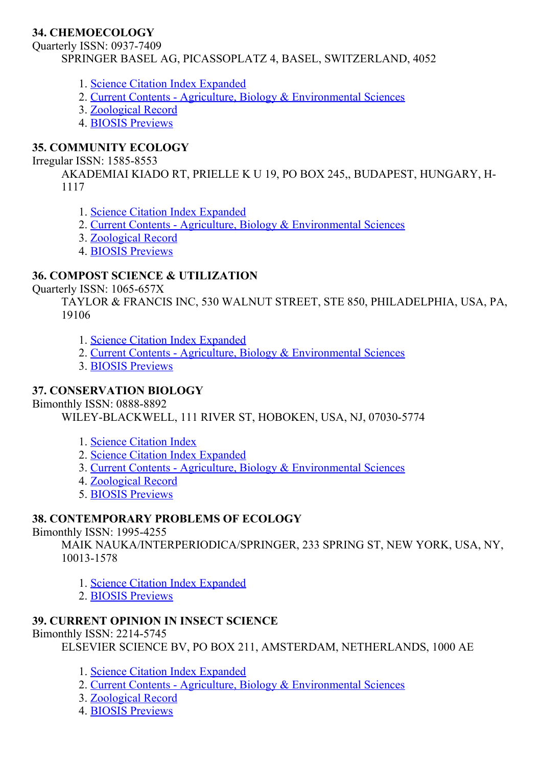### 34. CHEMOECOLOGY

Quarterly ISSN: 0937-7409 SPRINGER BASEL AG, PICASSOPLATZ 4, BASEL, SWITZERLAND, 4052

- 1. Science Citation Index [Expanded](http://thomsonreuters.com/science-citation-index-expanded)
- 2. Current Contents Agriculture, Biology & [Environmental](http://thomsonreuters.com/current-contents-connect/) Sciences
- 3. [Zoological](http://thomsonreuters.com/zoological-record) Record
- 4. BIOSIS [Previews](http://thomsonreuters.com/biosis-previews)

### 35. COMMUNITY ECOLOGY

#### Irregular ISSN: 1585-8553

AKADEMIAI KIADO RT, PRIELLE K U 19, PO BOX 245,, BUDAPEST, HUNGARY, H-1117

- 1. Science Citation Index [Expanded](http://thomsonreuters.com/science-citation-index-expanded)
- 2. Current Contents Agriculture, Biology & [Environmental](http://thomsonreuters.com/current-contents-connect/) Sciences
- 3. [Zoological](http://thomsonreuters.com/zoological-record) Record
- 4. BIOSIS [Previews](http://thomsonreuters.com/biosis-previews)

#### 36. COMPOST SCIENCE & UTILIZATION

Quarterly ISSN: 1065-657X

TAYLOR & FRANCIS INC, 530 WALNUT STREET, STE 850, PHILADELPHIA, USA, PA, 19106

1. Science Citation Index [Expanded](http://thomsonreuters.com/science-citation-index-expanded)

- 2. Current Contents Agriculture, Biology & [Environmental](http://thomsonreuters.com/current-contents-connect/) Sciences
- 3. BIOSIS [Previews](http://thomsonreuters.com/biosis-previews)

#### 37. CONSERVATION BIOLOGY

Bimonthly ISSN: 0888-8892

WILEY-BLACKWELL, 111 RIVER ST, HOBOKEN, USA, NJ, 07030-5774

- 1. Science [Citation](http://thomsonreuters.com/science-citation-index-expanded) Index
- 2. Science Citation Index [Expanded](http://thomsonreuters.com/science-citation-index-expanded)
- 3. Current Contents Agriculture, Biology & [Environmental](http://thomsonreuters.com/current-contents-connect/) Sciences
- 4. [Zoological](http://thomsonreuters.com/zoological-record) Record
- 5. BIOSIS [Previews](http://thomsonreuters.com/biosis-previews)

#### 38. CONTEMPORARY PROBLEMS OF ECOLOGY

Bimonthly ISSN: 1995-4255

MAIK NAUKA/INTERPERIODICA/SPRINGER, 233 SPRING ST, NEW YORK, USA, NY, 10013-1578

- 1. Science Citation Index [Expanded](http://thomsonreuters.com/science-citation-index-expanded)
- 2. BIOSIS [Previews](http://thomsonreuters.com/biosis-previews)

#### 39. CURRENT OPINION IN INSECT SCIENCE

#### Bimonthly ISSN: 2214-5745

ELSEVIER SCIENCE BV, PO BOX 211, AMSTERDAM, NETHERLANDS, 1000 AE

- 1. Science Citation Index [Expanded](http://thomsonreuters.com/science-citation-index-expanded)
- 2. Current Contents Agriculture, Biology & [Environmental](http://thomsonreuters.com/current-contents-connect/) Sciences
- 3. [Zoological](http://thomsonreuters.com/zoological-record) Record
- 4. BIOSIS [Previews](http://thomsonreuters.com/biosis-previews)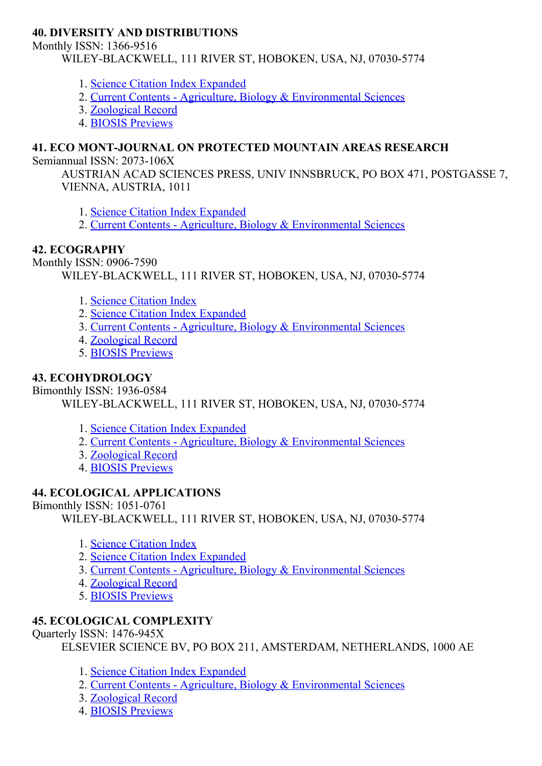### 40. DIVERSITY AND DISTRIBUTIONS

Monthly ISSN: 1366-9516

WILEY-BLACKWELL, 111 RIVER ST, HOBOKEN, USA, NJ, 07030-5774

- 1. Science Citation Index [Expanded](http://thomsonreuters.com/science-citation-index-expanded)
- 2. Current Contents Agriculture, Biology & [Environmental](http://thomsonreuters.com/current-contents-connect/) Sciences
- 3. [Zoological](http://thomsonreuters.com/zoological-record) Record
- 4. BIOSIS [Previews](http://thomsonreuters.com/biosis-previews)

## 41. ECO MONTJOURNAL ON PROTECTED MOUNTAIN AREAS RESEARCH

Semiannual ISSN: 2073-106X

AUSTRIAN ACAD SCIENCES PRESS, UNIV INNSBRUCK, PO BOX 471, POSTGASSE 7, VIENNA, AUSTRIA, 1011

1. Science Citation Index [Expanded](http://thomsonreuters.com/science-citation-index-expanded)

2. Current Contents Agriculture, Biology & [Environmental](http://thomsonreuters.com/current-contents-connect/) Sciences

### 42. ECOGRAPHY

Monthly ISSN: 0906-7590

WILEY-BLACKWELL, 111 RIVER ST, HOBOKEN, USA, NJ, 07030-5774

- 1. Science [Citation](http://thomsonreuters.com/science-citation-index-expanded) Index
- 2. Science Citation Index [Expanded](http://thomsonreuters.com/science-citation-index-expanded)
- 3. Current Contents Agriculture, Biology & [Environmental](http://thomsonreuters.com/current-contents-connect/) Sciences
- 4. [Zoological](http://thomsonreuters.com/zoological-record) Record
- 5. BIOSIS [Previews](http://thomsonreuters.com/biosis-previews)

## 43. ECOHYDROLOGY

Bimonthly ISSN: 1936-0584

WILEY-BLACKWELL, 111 RIVER ST, HOBOKEN, USA, NJ, 07030-5774

- 1. Science Citation Index [Expanded](http://thomsonreuters.com/science-citation-index-expanded)
- 2. Current Contents Agriculture, Biology & [Environmental](http://thomsonreuters.com/current-contents-connect/) Sciences
- 3. [Zoological](http://thomsonreuters.com/zoological-record) Record
- 4. BIOSIS [Previews](http://thomsonreuters.com/biosis-previews)

### 44. ECOLOGICAL APPLICATIONS

Bimonthly ISSN: 1051-0761

WILEY-BLACKWELL, 111 RIVER ST, HOBOKEN, USA, NJ, 07030-5774

- 1. Science [Citation](http://thomsonreuters.com/science-citation-index-expanded) Index
- 2. Science Citation Index [Expanded](http://thomsonreuters.com/science-citation-index-expanded)
- 3. Current Contents Agriculture, Biology & [Environmental](http://thomsonreuters.com/current-contents-connect/) Sciences
- 4. [Zoological](http://thomsonreuters.com/zoological-record) Record
- 5. BIOSIS [Previews](http://thomsonreuters.com/biosis-previews)

## 45. ECOLOGICAL COMPLEXITY

Quarterly ISSN: 1476-945X

ELSEVIER SCIENCE BV, PO BOX 211, AMSTERDAM, NETHERLANDS, 1000 AE

- 1. Science Citation Index [Expanded](http://thomsonreuters.com/science-citation-index-expanded)
- 2. Current Contents Agriculture, Biology & [Environmental](http://thomsonreuters.com/current-contents-connect/) Sciences
- 3. [Zoological](http://thomsonreuters.com/zoological-record) Record
- 4. BIOSIS [Previews](http://thomsonreuters.com/biosis-previews)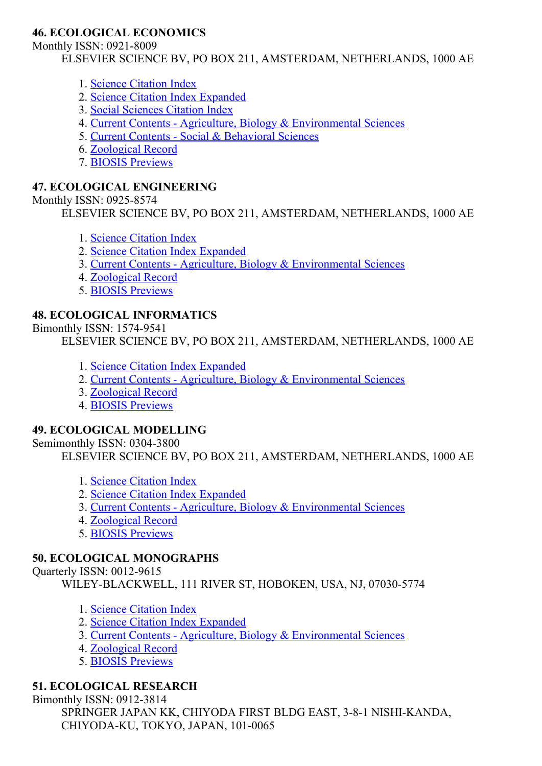### 46. ECOLOGICAL ECONOMICS

Monthly ISSN: 0921-8009

ELSEVIER SCIENCE BV, PO BOX 211, AMSTERDAM, NETHERLANDS, 1000 AE

- 1. Science [Citation](http://thomsonreuters.com/science-citation-index-expanded) Index
- 2. Science Citation Index [Expanded](http://thomsonreuters.com/science-citation-index-expanded)
- 3. Social [Sciences](http://thomsonreuters.com/social-sciences-citation-index) Citation Index
- 4. Current Contents Agriculture, Biology & [Environmental](http://thomsonreuters.com/current-contents-connect/) Sciences
- 5. Current Contents Social & [Behavioral](http://thomsonreuters.com/current-contents-connect/) Sciences
- 6. [Zoological](http://thomsonreuters.com/zoological-record) Record
- 7. BIOSIS [Previews](http://thomsonreuters.com/biosis-previews)

### 47. ECOLOGICAL ENGINEERING

Monthly ISSN: 0925-8574

ELSEVIER SCIENCE BV, PO BOX 211, AMSTERDAM, NETHERLANDS, 1000 AE

- 1. Science [Citation](http://thomsonreuters.com/science-citation-index-expanded) Index
- 2. Science Citation Index [Expanded](http://thomsonreuters.com/science-citation-index-expanded)
- 3. Current Contents Agriculture, Biology & [Environmental](http://thomsonreuters.com/current-contents-connect/) Sciences
- 4. [Zoological](http://thomsonreuters.com/zoological-record) Record
- 5. BIOSIS [Previews](http://thomsonreuters.com/biosis-previews)

## 48. ECOLOGICAL INFORMATICS

Bimonthly ISSN: 1574-9541

ELSEVIER SCIENCE BV, PO BOX 211, AMSTERDAM, NETHERLANDS, 1000 AE

- 1. Science Citation Index [Expanded](http://thomsonreuters.com/science-citation-index-expanded)
- 2. Current Contents Agriculture, Biology & [Environmental](http://thomsonreuters.com/current-contents-connect/) Sciences
- 3. [Zoological](http://thomsonreuters.com/zoological-record) Record
- 4. BIOSIS [Previews](http://thomsonreuters.com/biosis-previews)

### 49. ECOLOGICAL MODELLING

Semimonthly ISSN: 0304-3800

ELSEVIER SCIENCE BV, PO BOX 211, AMSTERDAM, NETHERLANDS, 1000 AE

- 1. Science [Citation](http://thomsonreuters.com/science-citation-index-expanded) Index
- 2. Science Citation Index [Expanded](http://thomsonreuters.com/science-citation-index-expanded)
- 3. Current Contents Agriculture, Biology & [Environmental](http://thomsonreuters.com/current-contents-connect/) Sciences
- 4. [Zoological](http://thomsonreuters.com/zoological-record) Record
- 5. BIOSIS [Previews](http://thomsonreuters.com/biosis-previews)

### 50. ECOLOGICAL MONOGRAPHS

Quarterly ISSN: 0012-9615

WILEY-BLACKWELL, 111 RIVER ST, HOBOKEN, USA, NJ, 07030-5774

- 1. Science [Citation](http://thomsonreuters.com/science-citation-index-expanded) Index
- 2. Science Citation Index [Expanded](http://thomsonreuters.com/science-citation-index-expanded)
- 3. Current Contents Agriculture, Biology & [Environmental](http://thomsonreuters.com/current-contents-connect/) Sciences
- 4. [Zoological](http://thomsonreuters.com/zoological-record) Record
- 5. BIOSIS [Previews](http://thomsonreuters.com/biosis-previews)

### 51. ECOLOGICAL RESEARCH

Bimonthly ISSN: 0912-3814

SPRINGER JAPAN KK, CHIYODA FIRST BLDG EAST, 3-8-1 NISHI-KANDA, CHIYODA-KU, TOKYO, JAPAN, 101-0065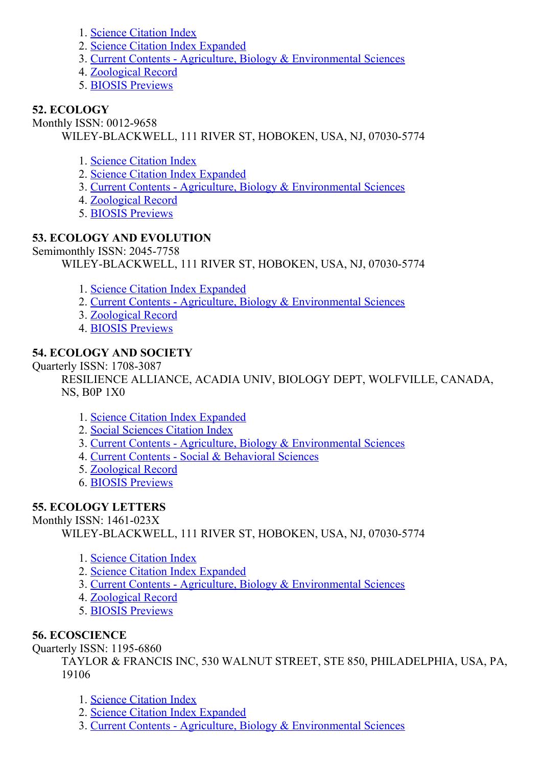- 1. Science [Citation](http://thomsonreuters.com/science-citation-index-expanded) Index
- 2. Science Citation Index [Expanded](http://thomsonreuters.com/science-citation-index-expanded)
- 3. Current Contents Agriculture, Biology & [Environmental](http://thomsonreuters.com/current-contents-connect/) Sciences
- 4. [Zoological](http://thomsonreuters.com/zoological-record) Record
- 5. BIOSIS [Previews](http://thomsonreuters.com/biosis-previews)

## 52. ECOLOGY

Monthly ISSN: 0012-9658

WILEY-BLACKWELL, 111 RIVER ST, HOBOKEN, USA, NJ, 07030-5774

- 1. Science [Citation](http://thomsonreuters.com/science-citation-index-expanded) Index
- 2. Science Citation Index [Expanded](http://thomsonreuters.com/science-citation-index-expanded)
- 3. Current Contents Agriculture, Biology & [Environmental](http://thomsonreuters.com/current-contents-connect/) Sciences
- 4. [Zoological](http://thomsonreuters.com/zoological-record) Record
- 5. BIOSIS [Previews](http://thomsonreuters.com/biosis-previews)

# 53. ECOLOGY AND EVOLUTION

Semimonthly ISSN: 2045-7758

WILEY-BLACKWELL, 111 RIVER ST, HOBOKEN, USA, NJ, 07030-5774

- 1. Science Citation Index [Expanded](http://thomsonreuters.com/science-citation-index-expanded)
- 2. Current Contents Agriculture, Biology & [Environmental](http://thomsonreuters.com/current-contents-connect/) Sciences
- 3. [Zoological](http://thomsonreuters.com/zoological-record) Record
- 4. BIOSIS [Previews](http://thomsonreuters.com/biosis-previews)

## 54. ECOLOGY AND SOCIETY

Quarterly ISSN: 1708-3087

RESILIENCE ALLIANCE, ACADIA UNIV, BIOLOGY DEPT, WOLFVILLE, CANADA, NS, B0P 1X0

- 1. Science Citation Index [Expanded](http://thomsonreuters.com/science-citation-index-expanded)
- 2. Social [Sciences](http://thomsonreuters.com/social-sciences-citation-index) Citation Index
- 3. Current Contents Agriculture, Biology & [Environmental](http://thomsonreuters.com/current-contents-connect/) Sciences
- 4. Current Contents Social & [Behavioral](http://thomsonreuters.com/current-contents-connect/) Sciences
- 5. [Zoological](http://thomsonreuters.com/zoological-record) Record
- 6. BIOSIS [Previews](http://thomsonreuters.com/biosis-previews)

# 55. ECOLOGY LETTERS

## Monthly ISSN:  $1461-023X$

WILEY-BLACKWELL, 111 RIVER ST, HOBOKEN, USA, NJ, 07030-5774

- 1. Science [Citation](http://thomsonreuters.com/science-citation-index-expanded) Index
- 2. Science Citation Index [Expanded](http://thomsonreuters.com/science-citation-index-expanded)
- 3. Current Contents Agriculture, Biology & [Environmental](http://thomsonreuters.com/current-contents-connect/) Sciences
- 4. [Zoological](http://thomsonreuters.com/zoological-record) Record
- 5. BIOSIS [Previews](http://thomsonreuters.com/biosis-previews)

## 56. ECOSCIENCE

Quarterly ISSN: 1195-6860

TAYLOR & FRANCIS INC, 530 WALNUT STREET, STE 850, PHILADELPHIA, USA, PA, 19106

- 1. Science [Citation](http://thomsonreuters.com/science-citation-index-expanded) Index
- 2. Science Citation Index [Expanded](http://thomsonreuters.com/science-citation-index-expanded)
- 3. Current Contents Agriculture, Biology & [Environmental](http://thomsonreuters.com/current-contents-connect/) Sciences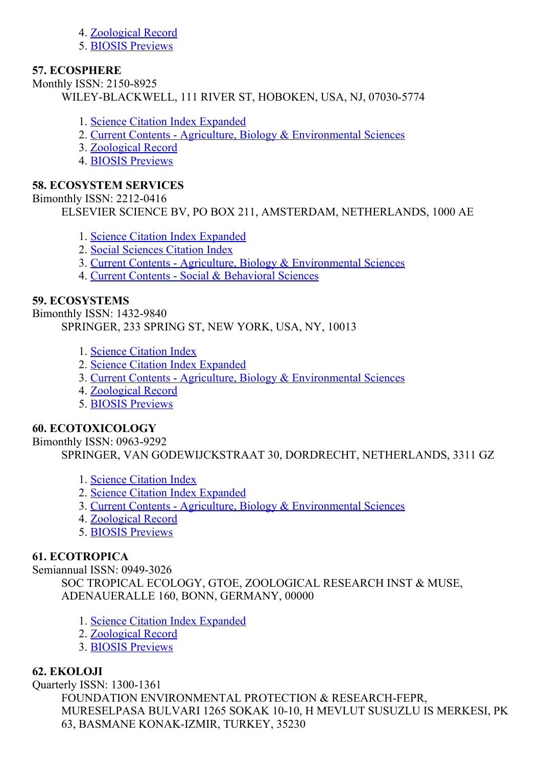### 4. [Zoological](http://thomsonreuters.com/zoological-record) Record

5. BIOSIS [Previews](http://thomsonreuters.com/biosis-previews)

#### 57. ECOSPHERE

Monthly ISSN: 2150-8925

WILEY-BLACKWELL, 111 RIVER ST, HOBOKEN, USA, NJ, 07030-5774

- 1. Science Citation Index [Expanded](http://thomsonreuters.com/science-citation-index-expanded)
- 2. Current Contents Agriculture, Biology & [Environmental](http://thomsonreuters.com/current-contents-connect/) Sciences
- 3. [Zoological](http://thomsonreuters.com/zoological-record) Record
- 4. BIOSIS [Previews](http://thomsonreuters.com/biosis-previews)

#### 58. ECOSYSTEM SERVICES

Bimonthly ISSN:  $2212-0416$ 

ELSEVIER SCIENCE BV, PO BOX 211, AMSTERDAM, NETHERLANDS, 1000 AE

- 1. Science Citation Index [Expanded](http://thomsonreuters.com/science-citation-index-expanded)
- 2. Social [Sciences](http://thomsonreuters.com/social-sciences-citation-index) Citation Index
- 3. Current Contents Agriculture, Biology & [Environmental](http://thomsonreuters.com/current-contents-connect/) Sciences
- 4. Current Contents Social & [Behavioral](http://thomsonreuters.com/current-contents-connect/) Sciences

#### 59. ECOSYSTEMS

Bimonthly ISSN: 1432-9840 SPRINGER, 233 SPRING ST, NEW YORK, USA, NY, 10013

- 1. Science [Citation](http://thomsonreuters.com/science-citation-index-expanded) Index
- 2. Science Citation Index [Expanded](http://thomsonreuters.com/science-citation-index-expanded)
- 3. Current Contents Agriculture, Biology & [Environmental](http://thomsonreuters.com/current-contents-connect/) Sciences
- 4. [Zoological](http://thomsonreuters.com/zoological-record) Record
- 5. BIOSIS [Previews](http://thomsonreuters.com/biosis-previews)

### 60. ECOTOXICOLOGY

Bimonthly ISSN: 0963-9292 SPRINGER, VAN GODEWIJCKSTRAAT 30, DORDRECHT, NETHERLANDS, 3311 GZ

- 1. Science [Citation](http://thomsonreuters.com/science-citation-index-expanded) Index
- 2. Science Citation Index [Expanded](http://thomsonreuters.com/science-citation-index-expanded)
- 3. Current Contents Agriculture, Biology & [Environmental](http://thomsonreuters.com/current-contents-connect/) Sciences
- 4. [Zoological](http://thomsonreuters.com/zoological-record) Record
- 5. BIOSIS [Previews](http://thomsonreuters.com/biosis-previews)

### 61. ECOTROPICA

Semiannual ISSN: 0949-3026

SOC TROPICAL ECOLOGY, GTOE, ZOOLOGICAL RESEARCH INST & MUSE, ADENAUERALLE 160, BONN, GERMANY, 00000

- 1. Science Citation Index [Expanded](http://thomsonreuters.com/science-citation-index-expanded)
- 2. [Zoological](http://thomsonreuters.com/zoological-record) Record
- 3. BIOSIS [Previews](http://thomsonreuters.com/biosis-previews)

### 62. EKOLOJI

Quarterly ISSN: 1300-1361 FOUNDATION ENVIRONMENTAL PROTECTION & RESEARCH-FEPR, MURESELPASA BULVARI 1265 SOKAK 1010, H MEVLUT SUSUZLU IS MERKESI, PK 63, BASMANE KONAK-IZMIR, TURKEY, 35230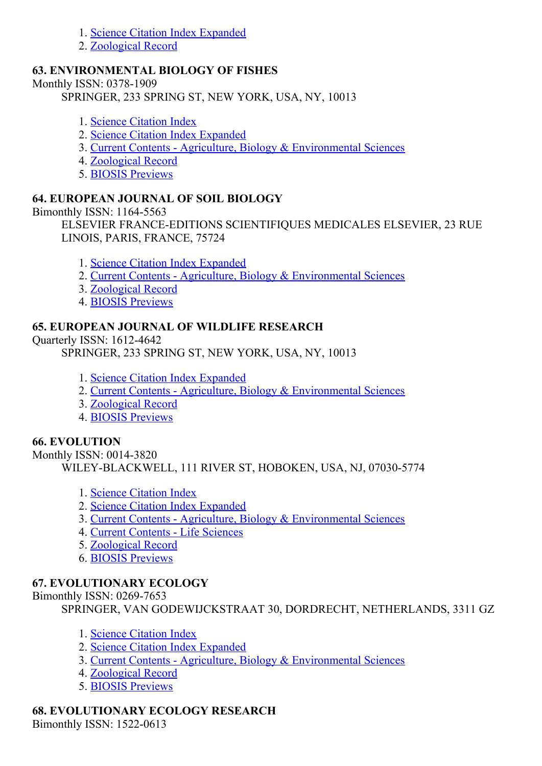- 1. Science Citation Index [Expanded](http://thomsonreuters.com/science-citation-index-expanded)
- 2. [Zoological](http://thomsonreuters.com/zoological-record) Record

### 63. ENVIRONMENTAL BIOLOGY OF FISHES

Monthly ISSN: 0378-1909

SPRINGER, 233 SPRING ST, NEW YORK, USA, NY, 10013

- 1. Science [Citation](http://thomsonreuters.com/science-citation-index-expanded) Index
- 2. Science Citation Index [Expanded](http://thomsonreuters.com/science-citation-index-expanded)
- 3. Current Contents Agriculture, Biology & [Environmental](http://thomsonreuters.com/current-contents-connect/) Sciences
- 4. [Zoological](http://thomsonreuters.com/zoological-record) Record
- 5. BIOSIS [Previews](http://thomsonreuters.com/biosis-previews)

## 64. EUROPEAN JOURNAL OF SOIL BIOLOGY

Bimonthly ISSN: 11645563

ELSEVIER FRANCE-EDITIONS SCIENTIFIQUES MEDICALES ELSEVIER, 23 RUE LINOIS, PARIS, FRANCE, 75724

- 1. Science Citation Index [Expanded](http://thomsonreuters.com/science-citation-index-expanded)
- 2. Current Contents Agriculture, Biology & [Environmental](http://thomsonreuters.com/current-contents-connect/) Sciences
- 3. [Zoological](http://thomsonreuters.com/zoological-record) Record
- 4. BIOSIS [Previews](http://thomsonreuters.com/biosis-previews)

## 65. EUROPEAN JOURNAL OF WILDLIFE RESEARCH

Quarterly ISSN: 16124642

SPRINGER, 233 SPRING ST, NEW YORK, USA, NY, 10013

- 1. Science Citation Index [Expanded](http://thomsonreuters.com/science-citation-index-expanded)
- 2. Current Contents Agriculture, Biology & [Environmental](http://thomsonreuters.com/current-contents-connect/) Sciences
- 3. [Zoological](http://thomsonreuters.com/zoological-record) Record
- 4. BIOSIS [Previews](http://thomsonreuters.com/biosis-previews)

### 66. EVOLUTION

Monthly ISSN: 0014-3820 WILEY-BLACKWELL, 111 RIVER ST, HOBOKEN, USA, NJ, 07030-5774

- 1. Science [Citation](http://thomsonreuters.com/science-citation-index-expanded) Index
- 2. Science Citation Index [Expanded](http://thomsonreuters.com/science-citation-index-expanded)
- 3. Current Contents Agriculture, Biology & [Environmental](http://thomsonreuters.com/current-contents-connect/) Sciences
- 4. Current [Contents](http://thomsonreuters.com/current-contents-connect) Life Sciences
- 5. [Zoological](http://thomsonreuters.com/zoological-record) Record
- 6. BIOSIS [Previews](http://thomsonreuters.com/biosis-previews)

## 67. EVOLUTIONARY ECOLOGY

Bimonthly ISSN: 0269-7653

SPRINGER, VAN GODEWIJCKSTRAAT 30, DORDRECHT, NETHERLANDS, 3311 GZ

- 1. Science [Citation](http://thomsonreuters.com/science-citation-index-expanded) Index
- 2. Science Citation Index [Expanded](http://thomsonreuters.com/science-citation-index-expanded)
- 3. Current Contents Agriculture, Biology & [Environmental](http://thomsonreuters.com/current-contents-connect/) Sciences
- 4. [Zoological](http://thomsonreuters.com/zoological-record) Record
- 5. BIOSIS [Previews](http://thomsonreuters.com/biosis-previews)

# 68. EVOLUTIONARY ECOLOGY RESEARCH

Bimonthly ISSN: 1522-0613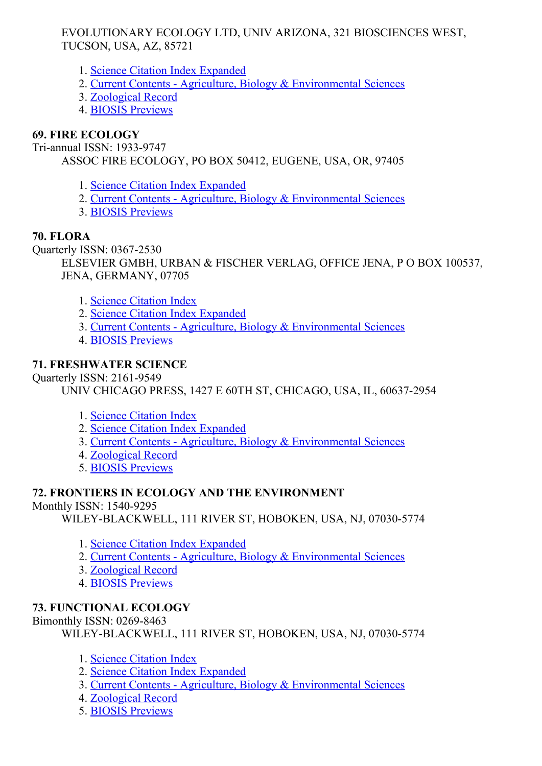EVOLUTIONARY ECOLOGY LTD, UNIV ARIZONA, 321 BIOSCIENCES WEST, TUCSON, USA, AZ, 85721

- 1. Science Citation Index [Expanded](http://thomsonreuters.com/science-citation-index-expanded)
- 2. Current Contents Agriculture, Biology & [Environmental](http://thomsonreuters.com/current-contents-connect/) Sciences
- 3. [Zoological](http://thomsonreuters.com/zoological-record) Record
- 4. BIOSIS [Previews](http://thomsonreuters.com/biosis-previews)

## 69. FIRE ECOLOGY

Tri-annual ISSN: 1933-9747

ASSOC FIRE ECOLOGY, PO BOX 50412, EUGENE, USA, OR, 97405

- 1. Science Citation Index [Expanded](http://thomsonreuters.com/science-citation-index-expanded)
- 2. Current Contents Agriculture, Biology & [Environmental](http://thomsonreuters.com/current-contents-connect/) Sciences
- 3. BIOSIS [Previews](http://thomsonreuters.com/biosis-previews)

## 70. FLORA

Ouarterly ISSN: 0367-2530

ELSEVIER GMBH, URBAN & FISCHER VERLAG, OFFICE JENA, P O BOX 100537, JENA, GERMANY, 07705

- 1. Science [Citation](http://thomsonreuters.com/science-citation-index-expanded) Index
- 2. Science Citation Index [Expanded](http://thomsonreuters.com/science-citation-index-expanded)
- 3. Current Contents Agriculture, Biology & [Environmental](http://thomsonreuters.com/current-contents-connect/) Sciences
- 4. BIOSIS [Previews](http://thomsonreuters.com/biosis-previews)

## 71. FRESHWATER SCIENCE

Quarterly ISSN: 2161-9549

UNIV CHICAGO PRESS, 1427 E 60TH ST, CHICAGO, USA, IL, 60637-2954

- 1. Science [Citation](http://thomsonreuters.com/science-citation-index-expanded) Index
- 2. Science Citation Index [Expanded](http://thomsonreuters.com/science-citation-index-expanded)
- 3. Current Contents Agriculture, Biology & [Environmental](http://thomsonreuters.com/current-contents-connect/) Sciences
- 4. [Zoological](http://thomsonreuters.com/zoological-record) Record
- 5. BIOSIS [Previews](http://thomsonreuters.com/biosis-previews)

## 72. FRONTIERS IN ECOLOGY AND THE ENVIRONMENT

### Monthly ISSN: 1540-9295

WILEY-BLACKWELL, 111 RIVER ST, HOBOKEN, USA, NJ, 07030-5774

- 1. Science Citation Index [Expanded](http://thomsonreuters.com/science-citation-index-expanded)
- 2. Current Contents Agriculture, Biology & [Environmental](http://thomsonreuters.com/current-contents-connect/) Sciences
- 3. [Zoological](http://thomsonreuters.com/zoological-record) Record
- 4. BIOSIS [Previews](http://thomsonreuters.com/biosis-previews)

## 73. FUNCTIONAL ECOLOGY

Bimonthly ISSN:  $0269-8463$ 

WILEY-BLACKWELL, 111 RIVER ST, HOBOKEN, USA, NJ, 07030-5774

- 1. Science [Citation](http://thomsonreuters.com/science-citation-index-expanded) Index
- 2. Science Citation Index [Expanded](http://thomsonreuters.com/science-citation-index-expanded)
- 3. Current Contents Agriculture, Biology & [Environmental](http://thomsonreuters.com/current-contents-connect/) Sciences
- 4. [Zoological](http://thomsonreuters.com/zoological-record) Record
- 5. BIOSIS [Previews](http://thomsonreuters.com/biosis-previews)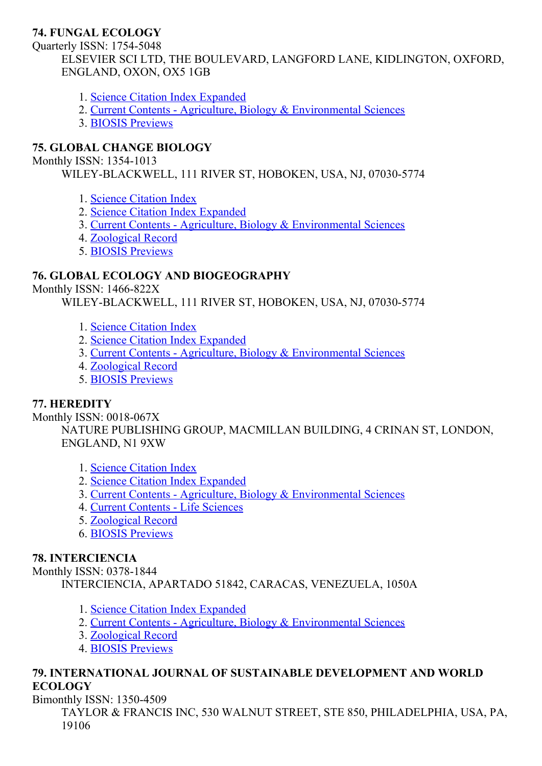## 74. FUNGAL ECOLOGY

Ouarterly ISSN: 1754-5048

ELSEVIER SCI LTD, THE BOULEVARD, LANGFORD LANE, KIDLINGTON, OXFORD, ENGLAND, OXON, OX5 1GB

- 1. Science Citation Index [Expanded](http://thomsonreuters.com/science-citation-index-expanded)
- 2. Current Contents Agriculture, Biology & [Environmental](http://thomsonreuters.com/current-contents-connect/) Sciences
- 3. BIOSIS [Previews](http://thomsonreuters.com/biosis-previews)

# 75. GLOBAL CHANGE BIOLOGY

### Monthly ISSN: 1354-1013

WILEY-BLACKWELL, 111 RIVER ST, HOBOKEN, USA, NJ, 07030-5774

- 1. Science [Citation](http://thomsonreuters.com/science-citation-index-expanded) Index
- 2. Science Citation Index [Expanded](http://thomsonreuters.com/science-citation-index-expanded)
- 3. Current Contents Agriculture, Biology & [Environmental](http://thomsonreuters.com/current-contents-connect/) Sciences
- 4. [Zoological](http://thomsonreuters.com/zoological-record) Record
- 5. BIOSIS [Previews](http://thomsonreuters.com/biosis-previews)

## 76. GLOBAL ECOLOGY AND BIOGEOGRAPHY

## Monthly ISSN: 1466-822X

WILEY-BLACKWELL, 111 RIVER ST, HOBOKEN, USA, NJ, 07030-5774

- 1. Science [Citation](http://thomsonreuters.com/science-citation-index-expanded) Index
- 2. Science Citation Index [Expanded](http://thomsonreuters.com/science-citation-index-expanded)
- 3. Current Contents Agriculture, Biology & [Environmental](http://thomsonreuters.com/current-contents-connect/) Sciences
- 4. [Zoological](http://thomsonreuters.com/zoological-record) Record
- 5. BIOSIS [Previews](http://thomsonreuters.com/biosis-previews)

## 77. HEREDITY

### Monthly ISSN: 0018-067X

NATURE PUBLISHING GROUP, MACMILLAN BUILDING, 4 CRINAN ST, LONDON, ENGLAND, N1 9XW

- 1. Science [Citation](http://thomsonreuters.com/science-citation-index-expanded) Index
- 2. Science Citation Index [Expanded](http://thomsonreuters.com/science-citation-index-expanded)
- 3. Current Contents Agriculture, Biology & [Environmental](http://thomsonreuters.com/current-contents-connect/) Sciences
- 4. Current [Contents](http://thomsonreuters.com/current-contents-connect) Life Sciences
- 5. [Zoological](http://thomsonreuters.com/zoological-record) Record
- 6. BIOSIS [Previews](http://thomsonreuters.com/biosis-previews)

### 78. INTERCIENCIA

### Monthly ISSN: 0378-1844

INTERCIENCIA, APARTADO 51842, CARACAS, VENEZUELA, 1050A

- 1. Science Citation Index [Expanded](http://thomsonreuters.com/science-citation-index-expanded)
- 2. Current Contents Agriculture, Biology & [Environmental](http://thomsonreuters.com/current-contents-connect/) Sciences
- 3. [Zoological](http://thomsonreuters.com/zoological-record) Record
- 4. BIOSIS [Previews](http://thomsonreuters.com/biosis-previews)

#### 79. INTERNATIONAL JOURNAL OF SUSTAINABLE DEVELOPMENT AND WORLD ECOLOGY

Bimonthly ISSN: 13504509

TAYLOR & FRANCIS INC, 530 WALNUT STREET, STE 850, PHILADELPHIA, USA, PA, 19106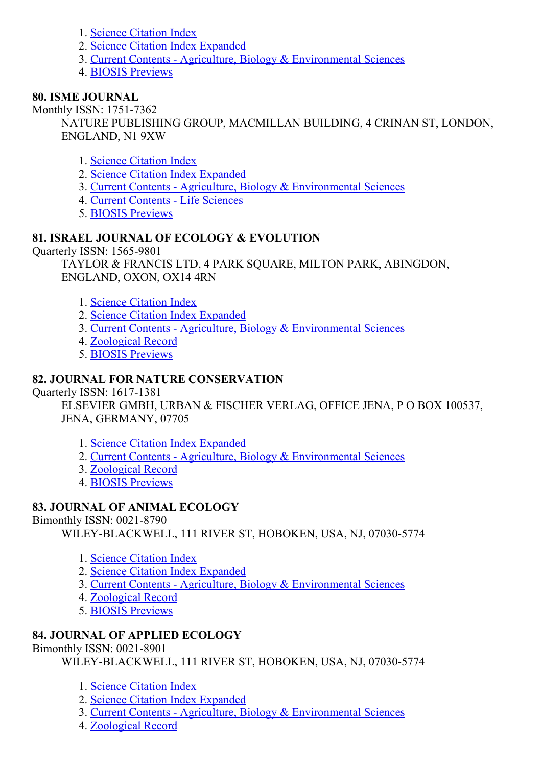- 1. Science [Citation](http://thomsonreuters.com/science-citation-index-expanded) Index
- 2. Science Citation Index [Expanded](http://thomsonreuters.com/science-citation-index-expanded)
- 3. Current Contents Agriculture, Biology & [Environmental](http://thomsonreuters.com/current-contents-connect/) Sciences
- 4. BIOSIS [Previews](http://thomsonreuters.com/biosis-previews)

### 80. ISME JOURNAL

Monthly ISSN: 1751-7362

NATURE PUBLISHING GROUP, MACMILLAN BUILDING, 4 CRINAN ST, LONDON, ENGLAND, N1 9XW

- 1. Science [Citation](http://thomsonreuters.com/science-citation-index-expanded) Index
- 2. Science Citation Index [Expanded](http://thomsonreuters.com/science-citation-index-expanded)
- 3. Current Contents Agriculture, Biology & [Environmental](http://thomsonreuters.com/current-contents-connect/) Sciences
- 4. Current [Contents](http://thomsonreuters.com/current-contents-connect) Life Sciences
- 5. BIOSIS [Previews](http://thomsonreuters.com/biosis-previews)

## 81. ISRAEL JOURNAL OF ECOLOGY & EVOLUTION

Quarterly ISSN: 1565-9801

TAYLOR & FRANCIS LTD, 4 PARK SQUARE, MILTON PARK, ABINGDON, ENGLAND, OXON, OX14 4RN

- 1. Science [Citation](http://thomsonreuters.com/science-citation-index-expanded) Index
- 2. Science Citation Index [Expanded](http://thomsonreuters.com/science-citation-index-expanded)
- 3. Current Contents Agriculture, Biology & [Environmental](http://thomsonreuters.com/current-contents-connect/) Sciences
- 4. [Zoological](http://thomsonreuters.com/zoological-record) Record
- 5. BIOSIS [Previews](http://thomsonreuters.com/biosis-previews)

## 82. JOURNAL FOR NATURE CONSERVATION

Ouarterly ISSN: 1617-1381

ELSEVIER GMBH, URBAN & FISCHER VERLAG, OFFICE JENA, P O BOX 100537, JENA, GERMANY, 07705

- 1. Science Citation Index [Expanded](http://thomsonreuters.com/science-citation-index-expanded)
- 2. Current Contents Agriculture, Biology & [Environmental](http://thomsonreuters.com/current-contents-connect/) Sciences
- 3. [Zoological](http://thomsonreuters.com/zoological-record) Record
- 4. BIOSIS [Previews](http://thomsonreuters.com/biosis-previews)

## 83. JOURNAL OF ANIMAL ECOLOGY

Bimonthly ISSN:  $0021-8790$ 

WILEY-BLACKWELL, 111 RIVER ST, HOBOKEN, USA, NJ, 07030-5774

- 1. Science [Citation](http://thomsonreuters.com/science-citation-index-expanded) Index
- 2. Science Citation Index [Expanded](http://thomsonreuters.com/science-citation-index-expanded)
- 3. Current Contents Agriculture, Biology & [Environmental](http://thomsonreuters.com/current-contents-connect/) Sciences
- 4. [Zoological](http://thomsonreuters.com/zoological-record) Record
- 5. BIOSIS [Previews](http://thomsonreuters.com/biosis-previews)

## 84. JOURNAL OF APPLIED ECOLOGY

### Bimonthly  $ISSN: 0021-8901$

WILEY-BLACKWELL, 111 RIVER ST, HOBOKEN, USA, NJ, 07030-5774

- 1. Science [Citation](http://thomsonreuters.com/science-citation-index-expanded) Index
- 2. Science Citation Index [Expanded](http://thomsonreuters.com/science-citation-index-expanded)
- 3. Current Contents Agriculture, Biology & [Environmental](http://thomsonreuters.com/current-contents-connect/) Sciences
- 4. [Zoological](http://thomsonreuters.com/zoological-record) Record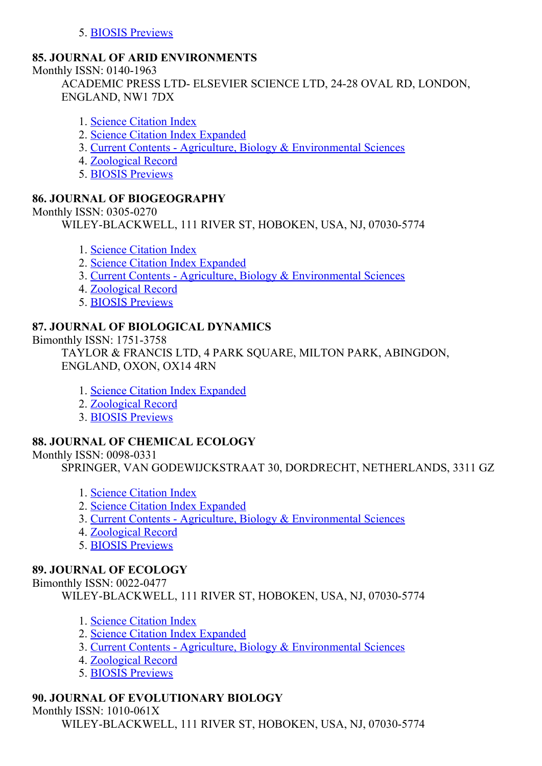## 85. JOURNAL OF ARID ENVIRONMENTS

#### Monthly ISSN: 0140-1963

ACADEMIC PRESS LTD- ELSEVIER SCIENCE LTD, 24-28 OVAL RD, LONDON, ENGLAND, NW1 7DX

- 1. Science [Citation](http://thomsonreuters.com/science-citation-index-expanded) Index
- 2. Science Citation Index [Expanded](http://thomsonreuters.com/science-citation-index-expanded)
- 3. Current Contents Agriculture, Biology & [Environmental](http://thomsonreuters.com/current-contents-connect/) Sciences
- 4. [Zoological](http://thomsonreuters.com/zoological-record) Record
- 5. BIOSIS [Previews](http://thomsonreuters.com/biosis-previews)

## 86. JOURNAL OF BIOGEOGRAPHY

Monthly ISSN: 0305-0270

WILEY-BLACKWELL, 111 RIVER ST, HOBOKEN, USA, NJ, 07030-5774

- 1. Science [Citation](http://thomsonreuters.com/science-citation-index-expanded) Index
- 2. Science Citation Index [Expanded](http://thomsonreuters.com/science-citation-index-expanded)
- 3. Current Contents Agriculture, Biology & [Environmental](http://thomsonreuters.com/current-contents-connect/) Sciences
- 4. [Zoological](http://thomsonreuters.com/zoological-record) Record
- 5. BIOSIS [Previews](http://thomsonreuters.com/biosis-previews)

## 87. JOURNAL OF BIOLOGICAL DYNAMICS

Bimonthly ISSN: 1751-3758

TAYLOR & FRANCIS LTD, 4 PARK SQUARE, MILTON PARK, ABINGDON, ENGLAND, OXON, OX14 4RN

- 1. Science Citation Index [Expanded](http://thomsonreuters.com/science-citation-index-expanded)
- 2. [Zoological](http://thomsonreuters.com/zoological-record) Record
- 3. BIOSIS [Previews](http://thomsonreuters.com/biosis-previews)

### 88. JOURNAL OF CHEMICAL ECOLOGY

Monthly ISSN: 0098-0331

SPRINGER, VAN GODEWIJCKSTRAAT 30, DORDRECHT, NETHERLANDS, 3311 GZ

- 1. Science [Citation](http://thomsonreuters.com/science-citation-index-expanded) Index
- 2. Science Citation Index [Expanded](http://thomsonreuters.com/science-citation-index-expanded)
- 3. Current Contents Agriculture, Biology & [Environmental](http://thomsonreuters.com/current-contents-connect/) Sciences
- 4. [Zoological](http://thomsonreuters.com/zoological-record) Record
- 5. BIOSIS [Previews](http://thomsonreuters.com/biosis-previews)

### 89. JOURNAL OF ECOLOGY

Bimonthly ISSN: 0022-0477

WILEY-BLACKWELL, 111 RIVER ST, HOBOKEN, USA, NJ, 07030-5774

- 1. Science [Citation](http://thomsonreuters.com/science-citation-index-expanded) Index
- 2. Science Citation Index [Expanded](http://thomsonreuters.com/science-citation-index-expanded)
- 3. Current Contents Agriculture, Biology & [Environmental](http://thomsonreuters.com/current-contents-connect/) Sciences
- 4. [Zoological](http://thomsonreuters.com/zoological-record) Record
- 5. BIOSIS [Previews](http://thomsonreuters.com/biosis-previews)

## 90. JOURNAL OF EVOLUTIONARY BIOLOGY

Monthly ISSN:  $1010-061X$ 

WILEY-BLACKWELL, 111 RIVER ST, HOBOKEN, USA, NJ, 07030-5774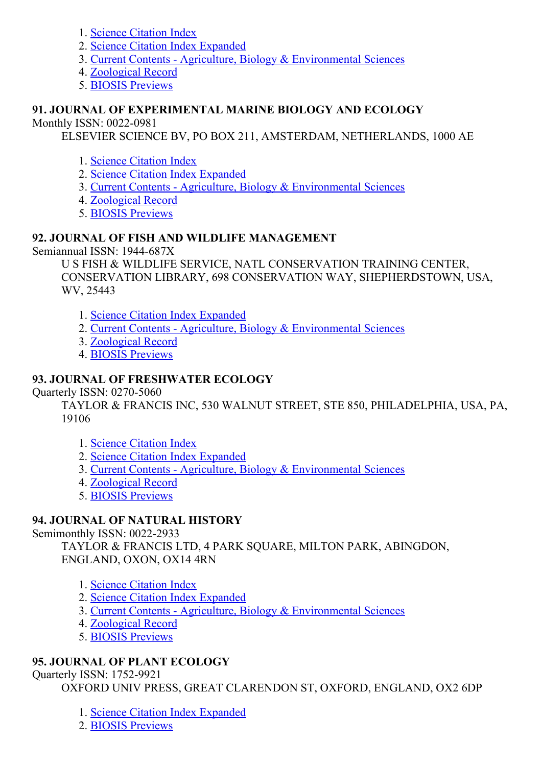- 1. Science [Citation](http://thomsonreuters.com/science-citation-index-expanded) Index
- 2. Science Citation Index [Expanded](http://thomsonreuters.com/science-citation-index-expanded)
- 3. Current Contents Agriculture, Biology & [Environmental](http://thomsonreuters.com/current-contents-connect/) Sciences
- 4. [Zoological](http://thomsonreuters.com/zoological-record) Record
- 5. BIOSIS [Previews](http://thomsonreuters.com/biosis-previews)

#### 91. JOURNAL OF EXPERIMENTAL MARINE BIOLOGY AND ECOLOGY

Monthly ISSN: 0022-0981

ELSEVIER SCIENCE BV, PO BOX 211, AMSTERDAM, NETHERLANDS, 1000 AE

- 1. Science [Citation](http://thomsonreuters.com/science-citation-index-expanded) Index
- 2. Science Citation Index [Expanded](http://thomsonreuters.com/science-citation-index-expanded)
- 3. Current Contents Agriculture, Biology & [Environmental](http://thomsonreuters.com/current-contents-connect/) Sciences
- 4. [Zoological](http://thomsonreuters.com/zoological-record) Record
- 5. BIOSIS [Previews](http://thomsonreuters.com/biosis-previews)

### 92. JOURNAL OF FISH AND WILDLIFE MANAGEMENT

Semiannual ISSN: 1944-687X

U S FISH & WILDLIFE SERVICE, NATL CONSERVATION TRAINING CENTER, CONSERVATION LIBRARY, 698 CONSERVATION WAY, SHEPHERDSTOWN, USA, WV, 25443

- 1. Science Citation Index [Expanded](http://thomsonreuters.com/science-citation-index-expanded)
- 2. Current Contents Agriculture, Biology & [Environmental](http://thomsonreuters.com/current-contents-connect/) Sciences
- 3. [Zoological](http://thomsonreuters.com/zoological-record) Record
- 4. BIOSIS [Previews](http://thomsonreuters.com/biosis-previews)

### 93. JOURNAL OF FRESHWATER ECOLOGY

Ouarterly ISSN: 0270-5060

TAYLOR & FRANCIS INC, 530 WALNUT STREET, STE 850, PHILADELPHIA, USA, PA, 19106

- 1. Science [Citation](http://thomsonreuters.com/science-citation-index-expanded) Index
- 2. Science Citation Index [Expanded](http://thomsonreuters.com/science-citation-index-expanded)
- 3. Current Contents Agriculture, Biology & [Environmental](http://thomsonreuters.com/current-contents-connect/) Sciences
- 4. [Zoological](http://thomsonreuters.com/zoological-record) Record
- 5. BIOSIS [Previews](http://thomsonreuters.com/biosis-previews)

### 94. JOURNAL OF NATURAL HISTORY

Semimonthly ISSN: 0022-2933

TAYLOR & FRANCIS LTD, 4 PARK SQUARE, MILTON PARK, ABINGDON, ENGLAND, OXON, OX14 4RN

- 1. Science [Citation](http://thomsonreuters.com/science-citation-index-expanded) Index
- 2. Science Citation Index [Expanded](http://thomsonreuters.com/science-citation-index-expanded)
- 3. Current Contents Agriculture, Biology & [Environmental](http://thomsonreuters.com/current-contents-connect/) Sciences
- 4. [Zoological](http://thomsonreuters.com/zoological-record) Record
- 5. BIOSIS [Previews](http://thomsonreuters.com/biosis-previews)

### 95. JOURNAL OF PLANT ECOLOGY

Quarterly ISSN: 1752-9921

OXFORD UNIV PRESS, GREAT CLARENDON ST, OXFORD, ENGLAND, OX2 6DP

- 1. Science Citation Index [Expanded](http://thomsonreuters.com/science-citation-index-expanded)
- 2. BIOSIS [Previews](http://thomsonreuters.com/biosis-previews)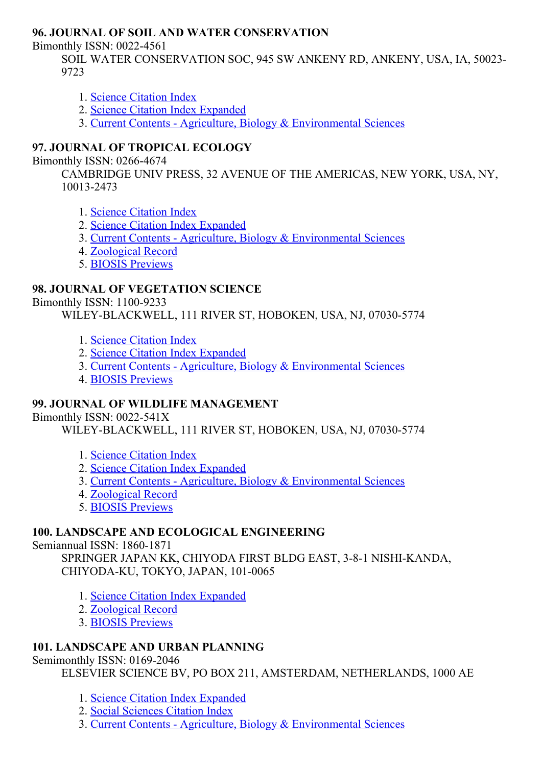#### 96. JOURNAL OF SOIL AND WATER CONSERVATION

Bimonthly ISSN: 0022-4561

SOIL WATER CONSERVATION SOC, 945 SW ANKENY RD, ANKENY, USA, IA, 50023 9723

- 1. Science [Citation](http://thomsonreuters.com/science-citation-index-expanded) Index
- 2. Science Citation Index [Expanded](http://thomsonreuters.com/science-citation-index-expanded)
- 3. Current Contents Agriculture, Biology & [Environmental](http://thomsonreuters.com/current-contents-connect/) Sciences

### 97. JOURNAL OF TROPICAL ECOLOGY

#### Bimonthly ISSN: 02664674

CAMBRIDGE UNIV PRESS, 32 AVENUE OF THE AMERICAS, NEW YORK, USA, NY, 100132473

- 1. Science [Citation](http://thomsonreuters.com/science-citation-index-expanded) Index
- 2. Science Citation Index [Expanded](http://thomsonreuters.com/science-citation-index-expanded)
- 3. Current Contents Agriculture, Biology & [Environmental](http://thomsonreuters.com/current-contents-connect/) Sciences
- 4. [Zoological](http://thomsonreuters.com/zoological-record) Record
- 5. BIOSIS [Previews](http://thomsonreuters.com/biosis-previews)

#### 98. JOURNAL OF VEGETATION SCIENCE

Bimonthly ISSN: 1100-9233

WILEY-BLACKWELL, 111 RIVER ST, HOBOKEN, USA, NJ, 07030-5774

- 1. Science [Citation](http://thomsonreuters.com/science-citation-index-expanded) Index
- 2. Science Citation Index [Expanded](http://thomsonreuters.com/science-citation-index-expanded)
- 3. Current Contents Agriculture, Biology & [Environmental](http://thomsonreuters.com/current-contents-connect/) Sciences
- 4. BIOSIS [Previews](http://thomsonreuters.com/biosis-previews)

#### 99. JOURNAL OF WILDLIFE MANAGEMENT

#### Bimonthly ISSN: 0022-541X

WILEY-BLACKWELL, 111 RIVER ST, HOBOKEN, USA, NJ, 07030-5774

- 1. Science [Citation](http://thomsonreuters.com/science-citation-index-expanded) Index
- 2. Science Citation Index [Expanded](http://thomsonreuters.com/science-citation-index-expanded)
- 3. Current Contents Agriculture, Biology & [Environmental](http://thomsonreuters.com/current-contents-connect/) Sciences
- 4. [Zoological](http://thomsonreuters.com/zoological-record) Record
- 5. BIOSIS [Previews](http://thomsonreuters.com/biosis-previews)

#### 100. LANDSCAPE AND ECOLOGICAL ENGINEERING

#### Semiannual ISSN: 1860-1871

SPRINGER JAPAN KK, CHIYODA FIRST BLDG EAST, 3-8-1 NISHI-KANDA, CHIYODA-KU, TOKYO, JAPAN, 101-0065

- 1. Science Citation Index [Expanded](http://thomsonreuters.com/science-citation-index-expanded)
- 2. [Zoological](http://thomsonreuters.com/zoological-record) Record
- 3. BIOSIS [Previews](http://thomsonreuters.com/biosis-previews)

#### 101. LANDSCAPE AND URBAN PLANNING

#### Semimonthly ISSN: 0169-2046

ELSEVIER SCIENCE BV, PO BOX 211, AMSTERDAM, NETHERLANDS, 1000 AE

- 1. Science Citation Index [Expanded](http://thomsonreuters.com/science-citation-index-expanded)
- 2. Social [Sciences](http://thomsonreuters.com/social-sciences-citation-index) Citation Index
- 3. Current Contents Agriculture, Biology & [Environmental](http://thomsonreuters.com/current-contents-connect/) Sciences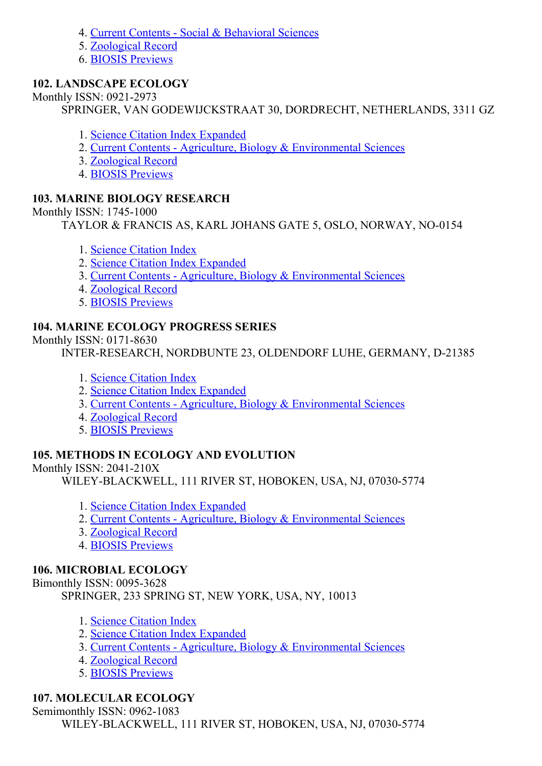- 4. Current Contents Social & [Behavioral](http://thomsonreuters.com/current-contents-connect/) Sciences
- 5. [Zoological](http://thomsonreuters.com/zoological-record) Record
- 6. BIOSIS [Previews](http://thomsonreuters.com/biosis-previews)

### 102. LANDSCAPE ECOLOGY

Monthly ISSN: 0921-2973

SPRINGER, VAN GODEWIJCKSTRAAT 30, DORDRECHT, NETHERLANDS, 3311 GZ

- 1. Science Citation Index [Expanded](http://thomsonreuters.com/science-citation-index-expanded)
- 2. Current Contents Agriculture, Biology & [Environmental](http://thomsonreuters.com/current-contents-connect/) Sciences
- 3. [Zoological](http://thomsonreuters.com/zoological-record) Record
- 4. BIOSIS [Previews](http://thomsonreuters.com/biosis-previews)

## 103. MARINE BIOLOGY RESEARCH

Monthly ISSN: 1745-1000

TAYLOR & FRANCIS AS, KARL JOHANS GATE 5, OSLO, NORWAY, NO-0154

- 1. Science [Citation](http://thomsonreuters.com/science-citation-index-expanded) Index
- 2. Science Citation Index [Expanded](http://thomsonreuters.com/science-citation-index-expanded)
- 3. Current Contents Agriculture, Biology & [Environmental](http://thomsonreuters.com/current-contents-connect/) Sciences
- 4. [Zoological](http://thomsonreuters.com/zoological-record) Record
- 5. BIOSIS [Previews](http://thomsonreuters.com/biosis-previews)

## 104. MARINE ECOLOGY PROGRESS SERIES

Monthly ISSN: 0171-8630

INTER-RESEARCH, NORDBUNTE 23, OLDENDORF LUHE, GERMANY, D-21385

- 1. Science [Citation](http://thomsonreuters.com/science-citation-index-expanded) Index
- 2. Science Citation Index [Expanded](http://thomsonreuters.com/science-citation-index-expanded)
- 3. Current Contents Agriculture, Biology & [Environmental](http://thomsonreuters.com/current-contents-connect/) Sciences
- 4. [Zoological](http://thomsonreuters.com/zoological-record) Record
- 5. BIOSIS [Previews](http://thomsonreuters.com/biosis-previews)

## 105. METHODS IN ECOLOGY AND EVOLUTION

Monthly ISSN: 2041-210X

WILEY-BLACKWELL, 111 RIVER ST, HOBOKEN, USA, NJ, 07030-5774

- 1. Science Citation Index [Expanded](http://thomsonreuters.com/science-citation-index-expanded)
- 2. Current Contents Agriculture, Biology & [Environmental](http://thomsonreuters.com/current-contents-connect/) Sciences
- 3. [Zoological](http://thomsonreuters.com/zoological-record) Record
- 4. BIOSIS [Previews](http://thomsonreuters.com/biosis-previews)

## 106. MICROBIAL ECOLOGY

Bimonthly ISSN: 0095-3628 SPRINGER, 233 SPRING ST, NEW YORK, USA, NY, 10013

- 1. Science [Citation](http://thomsonreuters.com/science-citation-index-expanded) Index
- 2. Science Citation Index [Expanded](http://thomsonreuters.com/science-citation-index-expanded)
- 3. Current Contents Agriculture, Biology & [Environmental](http://thomsonreuters.com/current-contents-connect/) Sciences
- 4. [Zoological](http://thomsonreuters.com/zoological-record) Record
- 5. BIOSIS [Previews](http://thomsonreuters.com/biosis-previews)

## 107. MOLECULAR ECOLOGY

Semimonthly ISSN: 0962-1083

WILEY-BLACKWELL, 111 RIVER ST, HOBOKEN, USA, NJ, 07030-5774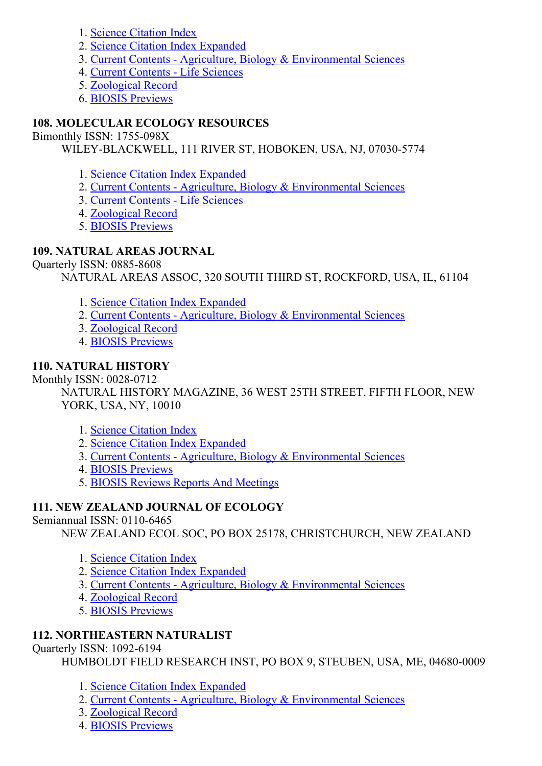- 1. Science [Citation](http://thomsonreuters.com/science-citation-index-expanded) Index
- 2. Science Citation Index [Expanded](http://thomsonreuters.com/science-citation-index-expanded)
- 3. Current Contents Agriculture, Biology & [Environmental](http://thomsonreuters.com/current-contents-connect/) Sciences
- 4. Current [Contents](http://thomsonreuters.com/current-contents-connect) Life Sciences
- 5. [Zoological](http://thomsonreuters.com/zoological-record) Record
- 6. BIOSIS [Previews](http://thomsonreuters.com/biosis-previews)

## 108. MOLECULAR ECOLOGY RESOURCES

Bimonthly ISSN: 1755-098X

WILEY-BLACKWELL, 111 RIVER ST, HOBOKEN, USA, NJ, 07030-5774

- 1. Science Citation Index [Expanded](http://thomsonreuters.com/science-citation-index-expanded)
- 2. Current Contents Agriculture, Biology & [Environmental](http://thomsonreuters.com/current-contents-connect/) Sciences
- 3. Current [Contents](http://thomsonreuters.com/current-contents-connect) Life Sciences
- 4. [Zoological](http://thomsonreuters.com/zoological-record) Record
- 5. BIOSIS [Previews](http://thomsonreuters.com/biosis-previews)

## 109. NATURAL AREAS JOURNAL

Ouarterly ISSN: 0885-8608

NATURAL AREAS ASSOC, 320 SOUTH THIRD ST, ROCKFORD, USA, IL, 61104

- 1. Science Citation Index [Expanded](http://thomsonreuters.com/science-citation-index-expanded)
- 2. Current Contents Agriculture, Biology & [Environmental](http://thomsonreuters.com/current-contents-connect/) Sciences
- 3. [Zoological](http://thomsonreuters.com/zoological-record) Record
- 4. BIOSIS [Previews](http://thomsonreuters.com/biosis-previews)

## 110. NATURAL HISTORY

### Monthly ISSN: 0028-0712

NATURAL HISTORY MAGAZINE, 36 WEST 25TH STREET, FIFTH FLOOR, NEW YORK, USA, NY, 10010

- 1. Science [Citation](http://thomsonreuters.com/science-citation-index-expanded) Index
- 2. Science Citation Index [Expanded](http://thomsonreuters.com/science-citation-index-expanded)
- 3. Current Contents Agriculture, Biology & [Environmental](http://thomsonreuters.com/current-contents-connect/) Sciences
- 4. BIOSIS [Previews](http://thomsonreuters.com/biosis-previews)
- 5. BIOSIS Reviews Reports And [Meetings](http://thomsonreuters.com/biosis-previews)

# 111. NEW ZEALAND JOURNAL OF ECOLOGY

Semiannual ISSN: 0110-6465

NEW ZEALAND ECOL SOC, PO BOX 25178, CHRISTCHURCH, NEW ZEALAND

- 1. Science [Citation](http://thomsonreuters.com/science-citation-index-expanded) Index
- 2. Science Citation Index [Expanded](http://thomsonreuters.com/science-citation-index-expanded)
- 3. Current Contents Agriculture, Biology & [Environmental](http://thomsonreuters.com/current-contents-connect/) Sciences
- 4. [Zoological](http://thomsonreuters.com/zoological-record) Record
- 5. BIOSIS [Previews](http://thomsonreuters.com/biosis-previews)

## 112. NORTHEASTERN NATURALIST

## Ouarterly ISSN: 1092-6194

HUMBOLDT FIELD RESEARCH INST, PO BOX 9, STEUBEN, USA, ME, 04680-0009

- 1. Science Citation Index [Expanded](http://thomsonreuters.com/science-citation-index-expanded)
- 2. Current Contents Agriculture, Biology & [Environmental](http://thomsonreuters.com/current-contents-connect/) Sciences
- 3. [Zoological](http://thomsonreuters.com/zoological-record) Record
- 4. BIOSIS [Previews](http://thomsonreuters.com/biosis-previews)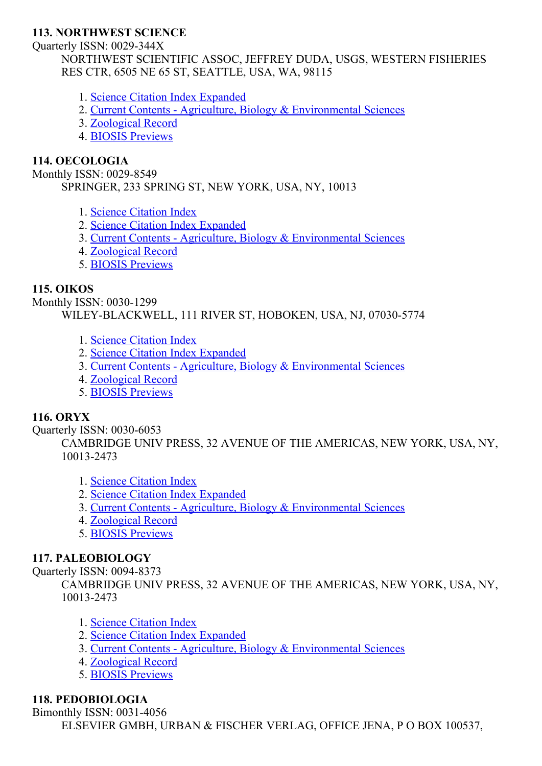### 113. NORTHWEST SCIENCE

Quarterly ISSN: 0029-344X

NORTHWEST SCIENTIFIC ASSOC, JEFFREY DUDA, USGS, WESTERN FISHERIES RES CTR, 6505 NE 65 ST, SEATTLE, USA, WA, 98115

1. Science Citation Index [Expanded](http://thomsonreuters.com/science-citation-index-expanded)

- 2. Current Contents Agriculture, Biology & [Environmental](http://thomsonreuters.com/current-contents-connect/) Sciences
- 3. [Zoological](http://thomsonreuters.com/zoological-record) Record
- 4. BIOSIS [Previews](http://thomsonreuters.com/biosis-previews)

#### 114. OECOLOGIA

Monthly ISSN: 0029-8549 SPRINGER, 233 SPRING ST, NEW YORK, USA, NY, 10013

1. Science [Citation](http://thomsonreuters.com/science-citation-index-expanded) Index

- 2. Science Citation Index [Expanded](http://thomsonreuters.com/science-citation-index-expanded)
- 3. Current Contents Agriculture, Biology & [Environmental](http://thomsonreuters.com/current-contents-connect/) Sciences
- 4. [Zoological](http://thomsonreuters.com/zoological-record) Record
- 5. BIOSIS [Previews](http://thomsonreuters.com/biosis-previews)

#### 115. OIKOS

Monthly ISSN: 0030-1299 WILEY-BLACKWELL, 111 RIVER ST, HOBOKEN, USA, NJ, 07030-5774

- 1. Science [Citation](http://thomsonreuters.com/science-citation-index-expanded) Index
- 2. Science Citation Index [Expanded](http://thomsonreuters.com/science-citation-index-expanded)
- 3. Current Contents Agriculture, Biology & [Environmental](http://thomsonreuters.com/current-contents-connect/) Sciences
- 4. [Zoological](http://thomsonreuters.com/zoological-record) Record
- 5. BIOSIS [Previews](http://thomsonreuters.com/biosis-previews)

#### 116. ORYX

Quarterly ISSN: 0030-6053

CAMBRIDGE UNIV PRESS, 32 AVENUE OF THE AMERICAS, NEW YORK, USA, NY, 100132473

- 1. Science [Citation](http://thomsonreuters.com/science-citation-index-expanded) Index
- 2. Science Citation Index [Expanded](http://thomsonreuters.com/science-citation-index-expanded)
- 3. Current Contents Agriculture, Biology & [Environmental](http://thomsonreuters.com/current-contents-connect/) Sciences
- 4. [Zoological](http://thomsonreuters.com/zoological-record) Record
- 5. BIOSIS [Previews](http://thomsonreuters.com/biosis-previews)

#### 117. PALEOBIOLOGY

Quarterly ISSN: 0094-8373

CAMBRIDGE UNIV PRESS, 32 AVENUE OF THE AMERICAS, NEW YORK, USA, NY, 100132473

- 1. Science [Citation](http://thomsonreuters.com/science-citation-index-expanded) Index
- 2. Science Citation Index [Expanded](http://thomsonreuters.com/science-citation-index-expanded)
- 3. Current Contents Agriculture, Biology & [Environmental](http://thomsonreuters.com/current-contents-connect/) Sciences
- 4. [Zoological](http://thomsonreuters.com/zoological-record) Record
- 5. BIOSIS [Previews](http://thomsonreuters.com/biosis-previews)

#### 118. PEDOBIOLOGIA

Bimonthly ISSN: 00314056 ELSEVIER GMBH, URBAN & FISCHER VERLAG, OFFICE JENA, P O BOX 100537,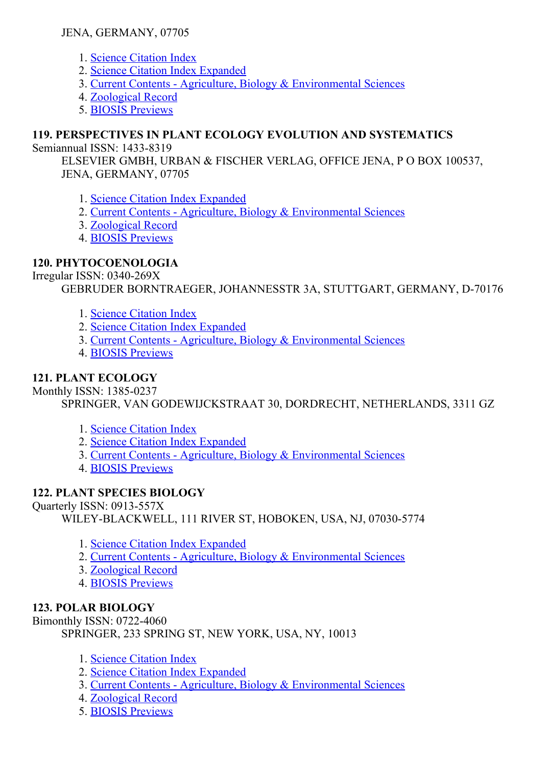#### JENA, GERMANY, 07705

- 1. Science [Citation](http://thomsonreuters.com/science-citation-index-expanded) Index
- 2. Science Citation Index [Expanded](http://thomsonreuters.com/science-citation-index-expanded)
- 3. Current Contents Agriculture, Biology & [Environmental](http://thomsonreuters.com/current-contents-connect/) Sciences
- 4. [Zoological](http://thomsonreuters.com/zoological-record) Record
- 5. BIOSIS [Previews](http://thomsonreuters.com/biosis-previews)

# 119. PERSPECTIVES IN PLANT ECOLOGY EVOLUTION AND SYSTEMATICS

Semiannual ISSN: 1433-8319

ELSEVIER GMBH, URBAN & FISCHER VERLAG, OFFICE JENA, P O BOX 100537, JENA, GERMANY, 07705

- 1. Science Citation Index [Expanded](http://thomsonreuters.com/science-citation-index-expanded)
- 2. Current Contents Agriculture, Biology & [Environmental](http://thomsonreuters.com/current-contents-connect/) Sciences
- 3. [Zoological](http://thomsonreuters.com/zoological-record) Record
- 4. BIOSIS [Previews](http://thomsonreuters.com/biosis-previews)

## 120. PHYTOCOENOLOGIA

Irregular ISSN:  $0340-269X$ 

GEBRUDER BORNTRAEGER, JOHANNESSTR 3A, STUTTGART, GERMANY, D-70176

- 1. Science [Citation](http://thomsonreuters.com/science-citation-index-expanded) Index
- 2. Science Citation Index [Expanded](http://thomsonreuters.com/science-citation-index-expanded)
- 3. Current Contents Agriculture, Biology & [Environmental](http://thomsonreuters.com/current-contents-connect/) Sciences
- 4. BIOSIS [Previews](http://thomsonreuters.com/biosis-previews)

## 121. PLANT ECOLOGY

Monthly ISSN: 1385-0237

SPRINGER, VAN GODEWIJCKSTRAAT 30, DORDRECHT, NETHERLANDS, 3311 GZ

- 1. Science [Citation](http://thomsonreuters.com/science-citation-index-expanded) Index
- 2. Science Citation Index [Expanded](http://thomsonreuters.com/science-citation-index-expanded)
- 3. Current Contents Agriculture, Biology & [Environmental](http://thomsonreuters.com/current-contents-connect/) Sciences
- 4. BIOSIS [Previews](http://thomsonreuters.com/biosis-previews)

## 122. PLANT SPECIES BIOLOGY

Quarterly ISSN: 0913-557X

WILEY-BLACKWELL, 111 RIVER ST, HOBOKEN, USA, NJ, 07030-5774

- 1. Science Citation Index [Expanded](http://thomsonreuters.com/science-citation-index-expanded)
- 2. Current Contents Agriculture, Biology & [Environmental](http://thomsonreuters.com/current-contents-connect/) Sciences
- 3. [Zoological](http://thomsonreuters.com/zoological-record) Record
- 4. BIOSIS [Previews](http://thomsonreuters.com/biosis-previews)

## 123. POLAR BIOLOGY

Bimonthly ISSN: 0722-4060 SPRINGER, 233 SPRING ST, NEW YORK, USA, NY, 10013

- 1. Science [Citation](http://thomsonreuters.com/science-citation-index-expanded) Index
- 2. Science Citation Index [Expanded](http://thomsonreuters.com/science-citation-index-expanded)
- 3. Current Contents Agriculture, Biology & [Environmental](http://thomsonreuters.com/current-contents-connect/) Sciences
- 4. [Zoological](http://thomsonreuters.com/zoological-record) Record
- 5. BIOSIS [Previews](http://thomsonreuters.com/biosis-previews)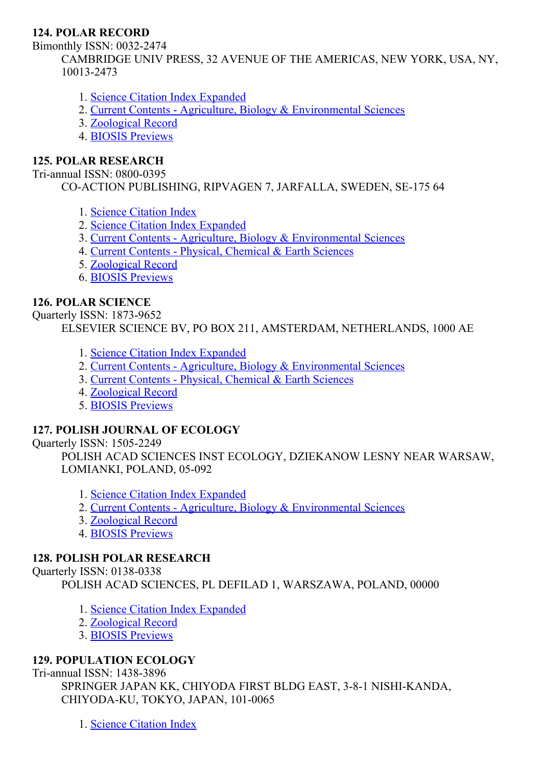### 124. POLAR RECORD

Bimonthly ISSN: 0032-2474

CAMBRIDGE UNIV PRESS, 32 AVENUE OF THE AMERICAS, NEW YORK, USA, NY, 100132473

- 1. Science Citation Index [Expanded](http://thomsonreuters.com/science-citation-index-expanded)
- 2. Current Contents Agriculture, Biology & [Environmental](http://thomsonreuters.com/current-contents-connect/) Sciences
- 3. [Zoological](http://thomsonreuters.com/zoological-record) Record
- 4. BIOSIS [Previews](http://thomsonreuters.com/biosis-previews)

## 125. POLAR RESEARCH

Tri-annual ISSN: 0800-0395

CO-ACTION PUBLISHING, RIPVAGEN 7, JARFALLA, SWEDEN, SE-175 64

- 1. Science [Citation](http://thomsonreuters.com/science-citation-index-expanded) Index
- 2. Science Citation Index [Expanded](http://thomsonreuters.com/science-citation-index-expanded)
- 3. Current Contents Agriculture, Biology & [Environmental](http://thomsonreuters.com/current-contents-connect/) Sciences
- 4. Current Contents Physical, [Chemical](http://thomsonreuters.com/current-contents-connect) & Earth Sciences
- 5. [Zoological](http://thomsonreuters.com/zoological-record) Record
- 6. BIOSIS [Previews](http://thomsonreuters.com/biosis-previews)

### 126. POLAR SCIENCE

Quarterly ISSN: 1873-9652

ELSEVIER SCIENCE BV, PO BOX 211, AMSTERDAM, NETHERLANDS, 1000 AE

- 1. Science Citation Index [Expanded](http://thomsonreuters.com/science-citation-index-expanded)
- 2. Current Contents Agriculture, Biology & [Environmental](http://thomsonreuters.com/current-contents-connect/) Sciences
- 3. Current Contents Physical, [Chemical](http://thomsonreuters.com/current-contents-connect) & Earth Sciences
- 4. [Zoological](http://thomsonreuters.com/zoological-record) Record
- 5. BIOSIS [Previews](http://thomsonreuters.com/biosis-previews)

### 127. POLISH JOURNAL OF ECOLOGY

### Quarterly ISSN: 15052249

POLISH ACAD SCIENCES INST ECOLOGY, DZIEKANOW LESNY NEAR WARSAW, LOMIANKI, POLAND, 05-092

- 1. Science Citation Index [Expanded](http://thomsonreuters.com/science-citation-index-expanded)
- 2. Current Contents Agriculture, Biology & [Environmental](http://thomsonreuters.com/current-contents-connect/) Sciences
- 3. [Zoological](http://thomsonreuters.com/zoological-record) Record
- 4. BIOSIS [Previews](http://thomsonreuters.com/biosis-previews)

### 128. POLISH POLAR RESEARCH

### Ouarterly ISSN: 0138-0338

POLISH ACAD SCIENCES, PL DEFILAD 1, WARSZAWA, POLAND, 00000

- 1. Science Citation Index [Expanded](http://thomsonreuters.com/science-citation-index-expanded)
- 2. [Zoological](http://thomsonreuters.com/zoological-record) Record
- 3. BIOSIS [Previews](http://thomsonreuters.com/biosis-previews)

## 129. POPULATION ECOLOGY

Tri-annual ISSN: 1438-3896

SPRINGER JAPAN KK, CHIYODA FIRST BLDG EAST, 3-8-1 NISHI-KANDA, CHIYODA-KU, TOKYO, JAPAN, 101-0065

1. Science [Citation](http://thomsonreuters.com/science-citation-index-expanded) Index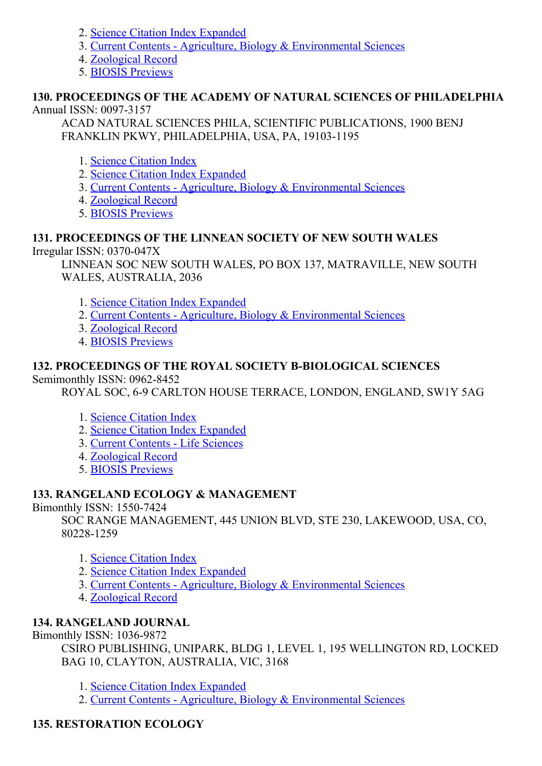- 2. Science Citation Index [Expanded](http://thomsonreuters.com/science-citation-index-expanded)
- 3. Current Contents Agriculture, Biology & [Environmental](http://thomsonreuters.com/current-contents-connect/) Sciences
- 4. [Zoological](http://thomsonreuters.com/zoological-record) Record
- 5. BIOSIS [Previews](http://thomsonreuters.com/biosis-previews)

#### 130. PROCEEDINGS OF THE ACADEMY OF NATURAL SCIENCES OF PHILADELPHIA Annual ISSN: 0097-3157

ACAD NATURAL SCIENCES PHILA, SCIENTIFIC PUBLICATIONS, 1900 BENJ FRANKLIN PKWY, PHILADELPHIA, USA, PA, 19103-1195

- 1. Science [Citation](http://thomsonreuters.com/science-citation-index-expanded) Index
- 2. Science Citation Index [Expanded](http://thomsonreuters.com/science-citation-index-expanded)
- 3. Current Contents Agriculture, Biology & [Environmental](http://thomsonreuters.com/current-contents-connect/) Sciences
- 4. [Zoological](http://thomsonreuters.com/zoological-record) Record
- 5. BIOSIS [Previews](http://thomsonreuters.com/biosis-previews)

### 131. PROCEEDINGS OF THE LINNEAN SOCIETY OF NEW SOUTH WALES

Irregular ISSN:  $0370-047X$ 

LINNEAN SOC NEW SOUTH WALES, PO BOX 137, MATRAVILLE, NEW SOUTH WALES, AUSTRALIA, 2036

- 1. Science Citation Index [Expanded](http://thomsonreuters.com/science-citation-index-expanded)
- 2. Current Contents Agriculture, Biology & [Environmental](http://thomsonreuters.com/current-contents-connect/) Sciences
- 3. [Zoological](http://thomsonreuters.com/zoological-record) Record
- 4. BIOSIS [Previews](http://thomsonreuters.com/biosis-previews)

### 132. PROCEEDINGS OF THE ROYAL SOCIETY B-BIOLOGICAL SCIENCES

Semimonthly ISSN: 0962-8452

ROYAL SOC, 69 CARLTON HOUSE TERRACE, LONDON, ENGLAND, SW1Y 5AG

- 1. Science [Citation](http://thomsonreuters.com/science-citation-index-expanded) Index
- 2. Science Citation Index [Expanded](http://thomsonreuters.com/science-citation-index-expanded)
- 3. Current [Contents](http://thomsonreuters.com/current-contents-connect) Life Sciences
- 4. [Zoological](http://thomsonreuters.com/zoological-record) Record
- 5. BIOSIS [Previews](http://thomsonreuters.com/biosis-previews)

### 133. RANGELAND ECOLOGY & MANAGEMENT

#### Bimonthly ISSN: 1550-7424

SOC RANGE MANAGEMENT, 445 UNION BLVD, STE 230, LAKEWOOD, USA, CO, 80228-1259

- 1. Science [Citation](http://thomsonreuters.com/science-citation-index-expanded) Index
- 2. Science Citation Index [Expanded](http://thomsonreuters.com/science-citation-index-expanded)
- 3. Current Contents Agriculture, Biology & [Environmental](http://thomsonreuters.com/current-contents-connect/) Sciences
- 4. [Zoological](http://thomsonreuters.com/zoological-record) Record

### 134. RANGELAND JOURNAL

Bimonthly ISSN: 1036-9872

CSIRO PUBLISHING, UNIPARK, BLDG 1, LEVEL 1, 195 WELLINGTON RD, LOCKED BAG 10, CLAYTON, AUSTRALIA, VIC, 3168

- 1. Science Citation Index [Expanded](http://thomsonreuters.com/science-citation-index-expanded)
- 2. Current Contents Agriculture, Biology & [Environmental](http://thomsonreuters.com/current-contents-connect/) Sciences

## 135. RESTORATION ECOLOGY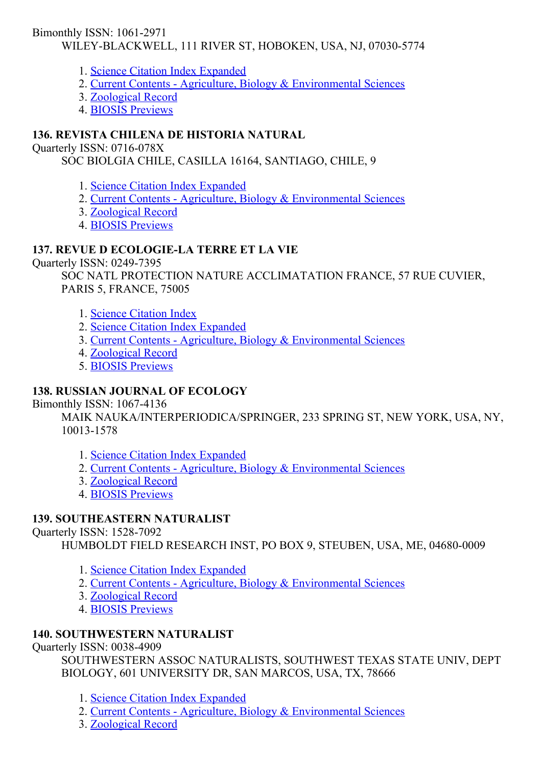Bimonthly ISSN: 1061-2971

WILEY-BLACKWELL, 111 RIVER ST, HOBOKEN, USA, NJ, 07030-5774

- 1. Science Citation Index [Expanded](http://thomsonreuters.com/science-citation-index-expanded)
- 2. Current Contents Agriculture, Biology & [Environmental](http://thomsonreuters.com/current-contents-connect/) Sciences
- 3. [Zoological](http://thomsonreuters.com/zoological-record) Record
- 4. BIOSIS [Previews](http://thomsonreuters.com/biosis-previews)

## 136. REVISTA CHILENA DE HISTORIA NATURAL

### Quarterly ISSN: 0716-078X

SOC BIOLGIA CHILE, CASILLA 16164, SANTIAGO, CHILE, 9

- 1. Science Citation Index [Expanded](http://thomsonreuters.com/science-citation-index-expanded)
- 2. Current Contents Agriculture, Biology & [Environmental](http://thomsonreuters.com/current-contents-connect/) Sciences
- 3. [Zoological](http://thomsonreuters.com/zoological-record) Record
- 4. BIOSIS [Previews](http://thomsonreuters.com/biosis-previews)

## 137. REVUE D ECOLOGIELA TERRE ET LA VIE

Quarterly ISSN: 0249-7395

SOC NATL PROTECTION NATURE ACCLIMATATION FRANCE, 57 RUE CUVIER, PARIS 5, FRANCE, 75005

- 1. Science [Citation](http://thomsonreuters.com/science-citation-index-expanded) Index
- 2. Science Citation Index [Expanded](http://thomsonreuters.com/science-citation-index-expanded)
- 3. Current Contents Agriculture, Biology & [Environmental](http://thomsonreuters.com/current-contents-connect/) Sciences
- 4. [Zoological](http://thomsonreuters.com/zoological-record) Record
- 5. BIOSIS [Previews](http://thomsonreuters.com/biosis-previews)

## 138. RUSSIAN JOURNAL OF ECOLOGY

Bimonthly ISSN: 1067-4136

MAIK NAUKA/INTERPERIODICA/SPRINGER, 233 SPRING ST, NEW YORK, USA, NY, 10013-1578

- 1. Science Citation Index [Expanded](http://thomsonreuters.com/science-citation-index-expanded)
- 2. Current Contents Agriculture, Biology & [Environmental](http://thomsonreuters.com/current-contents-connect/) Sciences
- 3. [Zoological](http://thomsonreuters.com/zoological-record) Record
- 4. BIOSIS [Previews](http://thomsonreuters.com/biosis-previews)

## 139. SOUTHEASTERN NATURALIST

### Ouarterly ISSN: 1528-7092

HUMBOLDT FIELD RESEARCH INST, PO BOX 9, STEUBEN, USA, ME, 04680-0009

- 1. Science Citation Index [Expanded](http://thomsonreuters.com/science-citation-index-expanded)
- 2. Current Contents Agriculture, Biology & [Environmental](http://thomsonreuters.com/current-contents-connect/) Sciences
- 3. [Zoological](http://thomsonreuters.com/zoological-record) Record
- 4. BIOSIS [Previews](http://thomsonreuters.com/biosis-previews)

## 140. SOUTHWESTERN NATURALIST

Quarterly ISSN: 00384909

SOUTHWESTERN ASSOC NATURALISTS, SOUTHWEST TEXAS STATE UNIV, DEPT BIOLOGY, 601 UNIVERSITY DR, SAN MARCOS, USA, TX, 78666

- 1. Science Citation Index [Expanded](http://thomsonreuters.com/science-citation-index-expanded)
- 2. Current Contents Agriculture, Biology & [Environmental](http://thomsonreuters.com/current-contents-connect/) Sciences
- 3. [Zoological](http://thomsonreuters.com/zoological-record) Record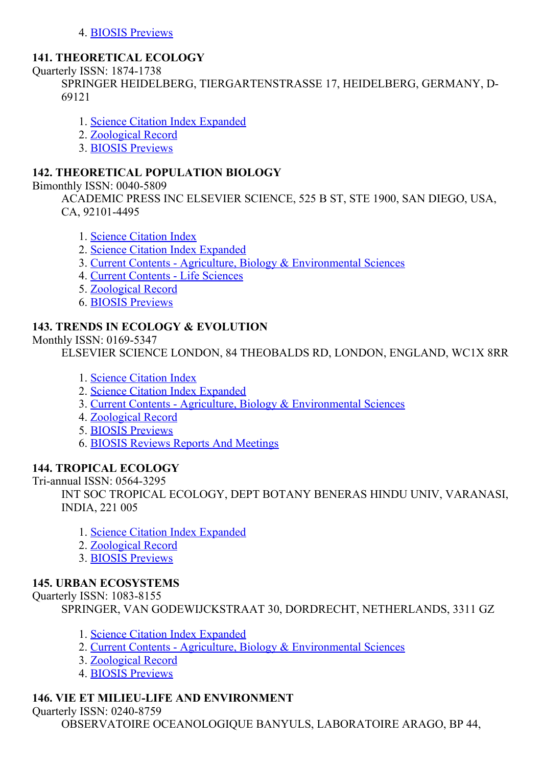4. BIOSIS [Previews](http://thomsonreuters.com/biosis-previews)

## 141. THEORETICAL ECOLOGY

Ouarterly ISSN: 1874-1738

SPRINGER HEIDELBERG, TIERGARTENSTRASSE 17, HEIDELBERG, GERMANY, D-69121

- 1. Science Citation Index [Expanded](http://thomsonreuters.com/science-citation-index-expanded)
- 2. [Zoological](http://thomsonreuters.com/zoological-record) Record
- 3. BIOSIS [Previews](http://thomsonreuters.com/biosis-previews)

## 142. THEORETICAL POPULATION BIOLOGY

Bimonthly ISSN: 0040-5809

ACADEMIC PRESS INC ELSEVIER SCIENCE, 525 B ST, STE 1900, SAN DIEGO, USA, CA, 92101-4495

- 1. Science [Citation](http://thomsonreuters.com/science-citation-index-expanded) Index
- 2. Science Citation Index [Expanded](http://thomsonreuters.com/science-citation-index-expanded)
- 3. Current Contents Agriculture, Biology & [Environmental](http://thomsonreuters.com/current-contents-connect/) Sciences
- 4. Current [Contents](http://thomsonreuters.com/current-contents-connect) Life Sciences
- 5. [Zoological](http://thomsonreuters.com/zoological-record) Record
- 6. BIOSIS [Previews](http://thomsonreuters.com/biosis-previews)

## 143. TRENDS IN ECOLOGY & EVOLUTION

Monthly ISSN: 0169-5347

ELSEVIER SCIENCE LONDON, 84 THEOBALDS RD, LONDON, ENGLAND, WC1X 8RR

- 1. Science [Citation](http://thomsonreuters.com/science-citation-index-expanded) Index
- 2. Science Citation Index [Expanded](http://thomsonreuters.com/science-citation-index-expanded)
- 3. Current Contents Agriculture, Biology & [Environmental](http://thomsonreuters.com/current-contents-connect/) Sciences
- 4. [Zoological](http://thomsonreuters.com/zoological-record) Record
- 5. BIOSIS [Previews](http://thomsonreuters.com/biosis-previews)
- 6. BIOSIS Reviews Reports And [Meetings](http://thomsonreuters.com/biosis-previews)

### 144. TROPICAL ECOLOGY

Tri-annual ISSN: 0564-3295

INT SOC TROPICAL ECOLOGY, DEPT BOTANY BENERAS HINDU UNIV, VARANASI, INDIA, 221 005

- 1. Science Citation Index [Expanded](http://thomsonreuters.com/science-citation-index-expanded)
- 2. [Zoological](http://thomsonreuters.com/zoological-record) Record
- 3. BIOSIS [Previews](http://thomsonreuters.com/biosis-previews)

## 145. URBAN ECOSYSTEMS

Quarterly ISSN: 1083-8155

SPRINGER, VAN GODEWIJCKSTRAAT 30, DORDRECHT, NETHERLANDS, 3311 GZ

- 1. Science Citation Index [Expanded](http://thomsonreuters.com/science-citation-index-expanded)
- 2. Current Contents Agriculture, Biology & [Environmental](http://thomsonreuters.com/current-contents-connect/) Sciences
- 3. [Zoological](http://thomsonreuters.com/zoological-record) Record
- 4. BIOSIS [Previews](http://thomsonreuters.com/biosis-previews)

## 146. VIE ET MILIEU-LIFE AND ENVIRONMENT

Quarterly ISSN: 0240-8759

OBSERVATOIRE OCEANOLOGIQUE BANYULS, LABORATOIRE ARAGO, BP 44,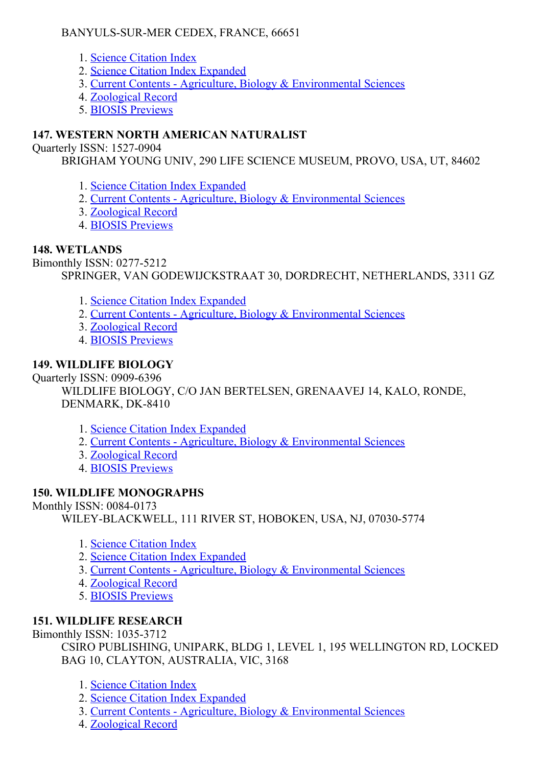### BANYULS-SUR-MER CEDEX, FRANCE, 66651

- 1. Science [Citation](http://thomsonreuters.com/science-citation-index-expanded) Index
- 2. Science Citation Index [Expanded](http://thomsonreuters.com/science-citation-index-expanded)
- 3. Current Contents Agriculture, Biology & [Environmental](http://thomsonreuters.com/current-contents-connect/) Sciences
- 4. [Zoological](http://thomsonreuters.com/zoological-record) Record
- 5. BIOSIS [Previews](http://thomsonreuters.com/biosis-previews)

# 147. WESTERN NORTH AMERICAN NATURALIST

### Ouarterly ISSN: 1527-0904

BRIGHAM YOUNG UNIV, 290 LIFE SCIENCE MUSEUM, PROVO, USA, UT, 84602

- 1. Science Citation Index [Expanded](http://thomsonreuters.com/science-citation-index-expanded)
- 2. Current Contents Agriculture, Biology & [Environmental](http://thomsonreuters.com/current-contents-connect/) Sciences
- 3. [Zoological](http://thomsonreuters.com/zoological-record) Record
- 4. BIOSIS [Previews](http://thomsonreuters.com/biosis-previews)

## 148. WETLANDS

Bimonthly ISSN: 0277-5212

SPRINGER, VAN GODEWIJCKSTRAAT 30, DORDRECHT, NETHERLANDS, 3311 GZ

- 1. Science Citation Index [Expanded](http://thomsonreuters.com/science-citation-index-expanded)
- 2. Current Contents Agriculture, Biology & [Environmental](http://thomsonreuters.com/current-contents-connect/) Sciences
- 3. [Zoological](http://thomsonreuters.com/zoological-record) Record
- 4. BIOSIS [Previews](http://thomsonreuters.com/biosis-previews)

## 149. WILDLIFE BIOLOGY

## Quarterly ISSN: 0909-6396

WILDLIFE BIOLOGY, C/O JAN BERTELSEN, GRENAAVEJ 14, KALO, RONDE, DENMARK, DK-8410

- 1. Science Citation Index [Expanded](http://thomsonreuters.com/science-citation-index-expanded)
- 2. Current Contents Agriculture, Biology & [Environmental](http://thomsonreuters.com/current-contents-connect/) Sciences
- 3. [Zoological](http://thomsonreuters.com/zoological-record) Record
- 4. BIOSIS [Previews](http://thomsonreuters.com/biosis-previews)

# 150. WILDLIFE MONOGRAPHS

Monthly ISSN:  $0084-0173$ 

WILEY-BLACKWELL, 111 RIVER ST, HOBOKEN, USA, NJ, 07030-5774

- 1. Science [Citation](http://thomsonreuters.com/science-citation-index-expanded) Index
- 2. Science Citation Index [Expanded](http://thomsonreuters.com/science-citation-index-expanded)
- 3. Current Contents Agriculture, Biology & [Environmental](http://thomsonreuters.com/current-contents-connect/) Sciences
- 4. [Zoological](http://thomsonreuters.com/zoological-record) Record
- 5. BIOSIS [Previews](http://thomsonreuters.com/biosis-previews)

# 151. WILDLIFE RESEARCH

## Bimonthly ISSN: 1035-3712

CSIRO PUBLISHING, UNIPARK, BLDG 1, LEVEL 1, 195 WELLINGTON RD, LOCKED BAG 10, CLAYTON, AUSTRALIA, VIC, 3168

- 1. Science [Citation](http://thomsonreuters.com/science-citation-index-expanded) Index
- 2. Science Citation Index [Expanded](http://thomsonreuters.com/science-citation-index-expanded)
- 3. Current Contents Agriculture, Biology & [Environmental](http://thomsonreuters.com/current-contents-connect/) Sciences
- 4. [Zoological](http://thomsonreuters.com/zoological-record) Record